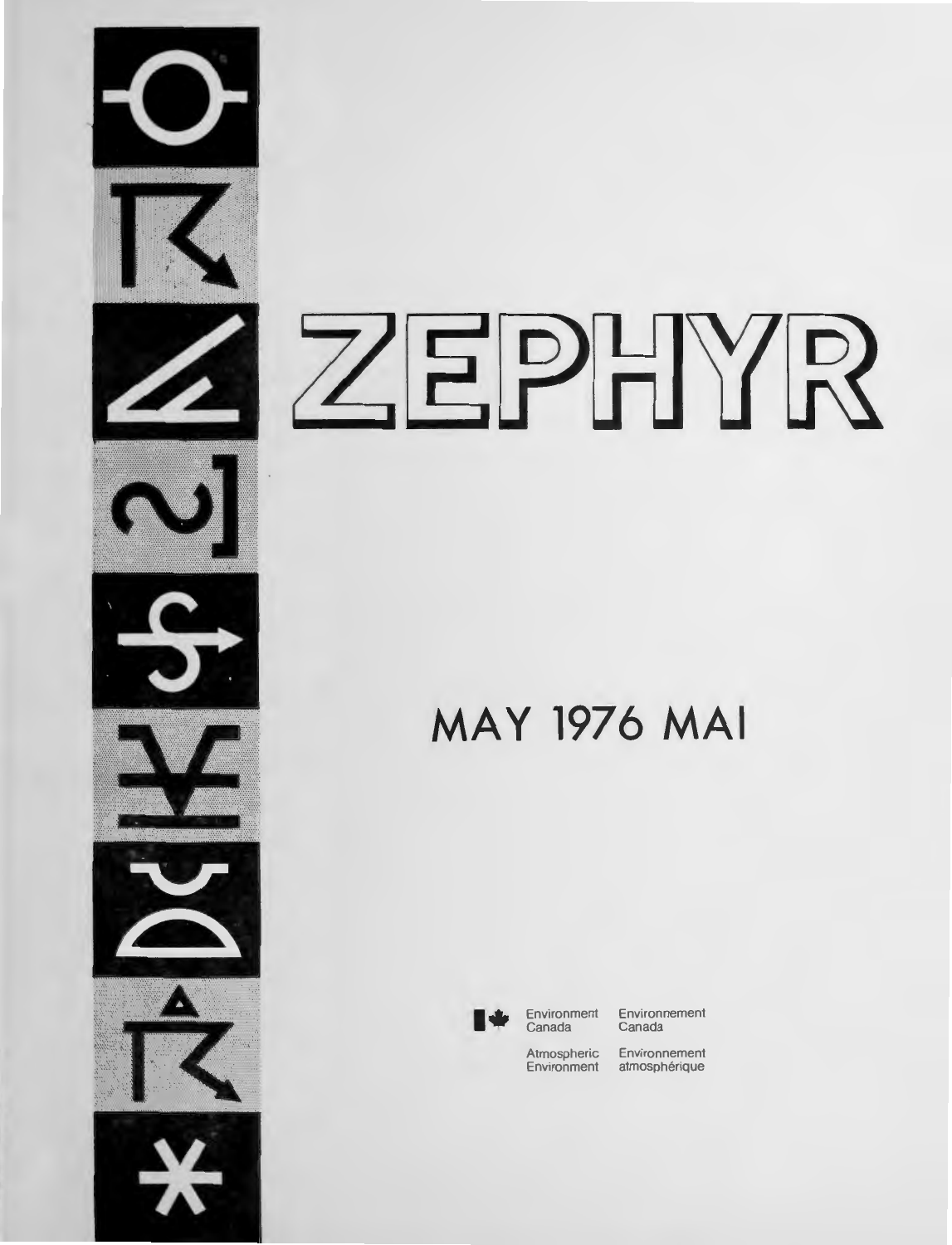

# ZEPHYR

## **MAY 1976 MAI**



**Environment** Canada

Environnement Canada

Atmospheric Environnement<br>Environment atmosphérique atmosphérique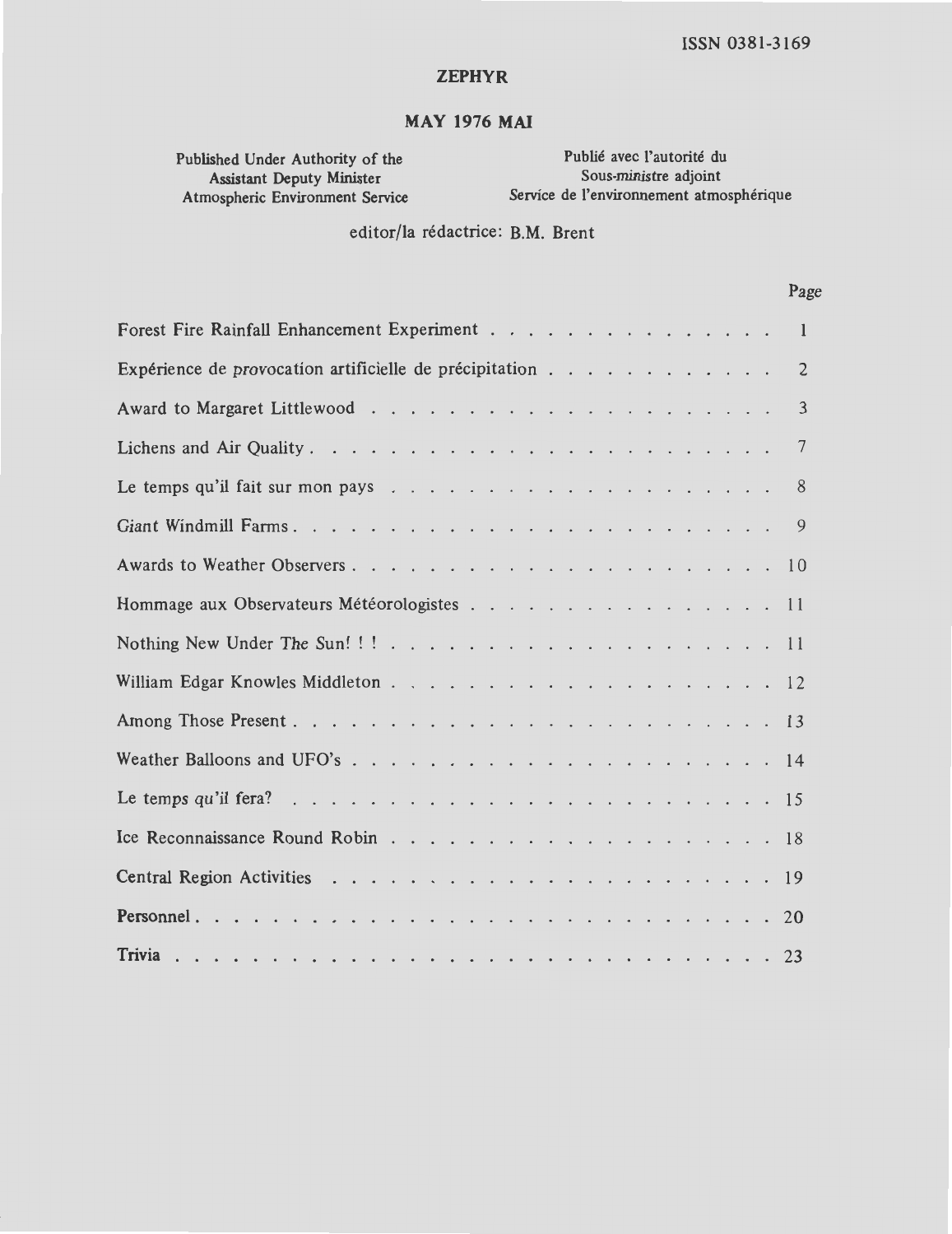#### **ZEPHYR**

#### MAY 1976 MAI

Published Under Authority of the Assistant Deputy Minister<br>Atmospheric Environment Service

Publié avec l'autorité du Sous-ministre adjoint Service de l'environnement atmosphérique

editor/la redactrice: **B.M.** Brent

#### Page

| Forest Fire Rainfall Enhancement Experiment<br>$\mathbf{1}$                                                   |
|---------------------------------------------------------------------------------------------------------------|
| Expérience de provocation artificielle de précipitation<br>$\overline{2}$                                     |
| 3                                                                                                             |
| $7\phantom{.0}$                                                                                               |
| 8<br>Le temps qu'il fait sur mon pays $\ldots$ $\ldots$ $\ldots$ $\ldots$ $\ldots$ $\ldots$ $\ldots$ $\ldots$ |
| -9                                                                                                            |
|                                                                                                               |
| Hommage aux Observateurs Météorologistes 11                                                                   |
|                                                                                                               |
|                                                                                                               |
|                                                                                                               |
|                                                                                                               |
|                                                                                                               |
|                                                                                                               |
|                                                                                                               |
|                                                                                                               |
|                                                                                                               |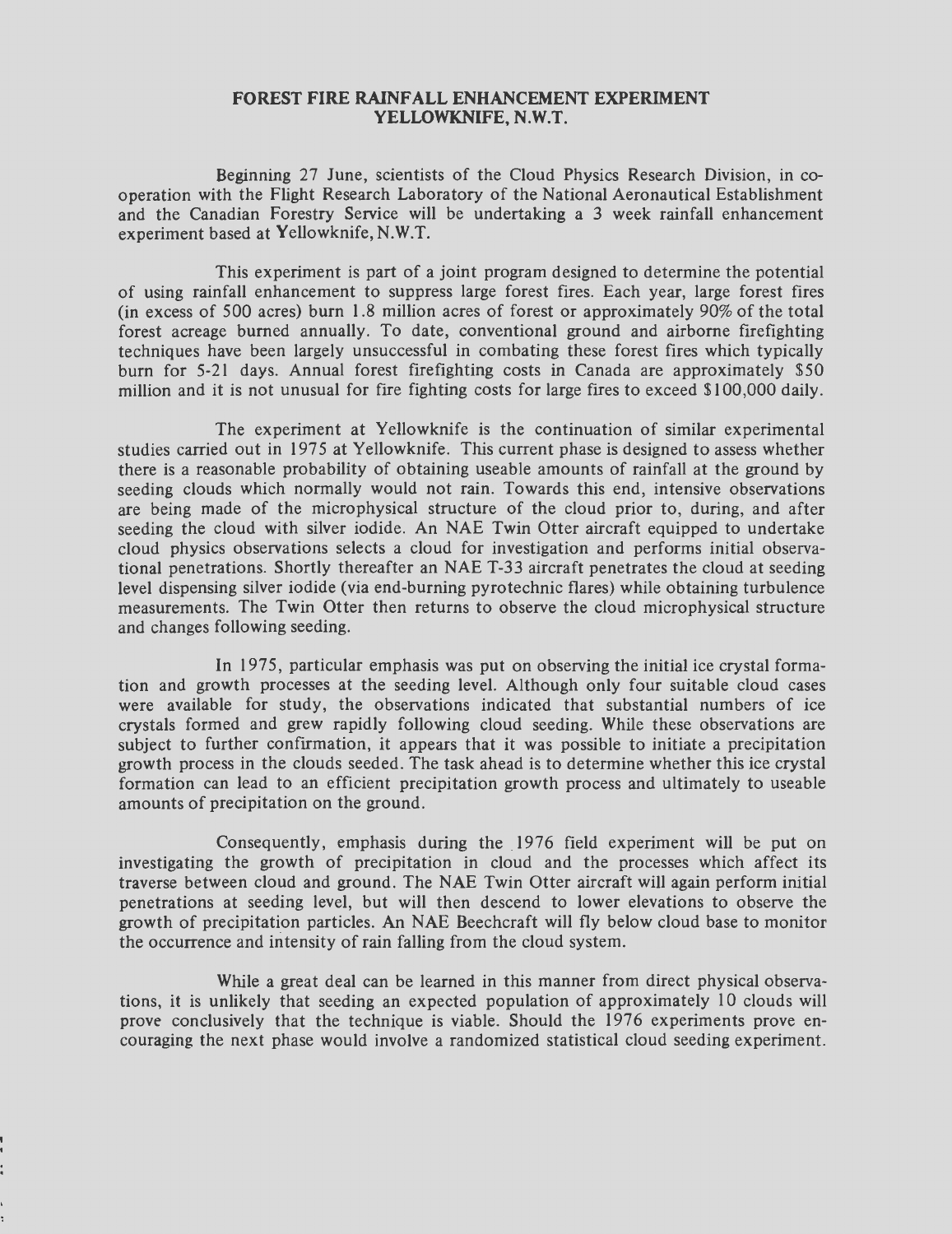#### **FOREST FIRE RAINFALL ENHANCEMENT EXPERIMENT YELLOWKNIFE, N.W.T.**

Beginning 27 June, scientists of the Cloud Physics Research Division, in cooperation with the Flight Research Laboratory of the National Aeronautical Establishment and the Canadian Forestry Service **will** be undertaking a 3 week rainfall enhancement experiment based at Yellowknife, **N.W.T.** 

*This* experiment is part of a joint program designed to determine the potential of using rainfall enhancement to suppress large forest fires. Each year, large forest fires (in excess of 500 acres) burn 1.8 million acres of forest or approximately 90% of the total forest acreage burned annually. To date, conventional ground and airborne firefighting techniques have been largely unsuccessful in combating these forest fires which typically burn for 5-21 days. Annual forest firefighting costs in Canada are approximately \$50 million and it is not unusual for fire fighting costs for large fires to exceed \$100,000 daily.

The experiment at Yellowknife is the continuation of similar experimental studies carried out in 1975 at Yellowknife. This current phase is designed to assess whether there is a reasonable probability of obtaining useable amounts of rainfall at the ground by seeding clouds which normally would not rain. Towards this end, intensive observations are being made of the microphysical structure of the cloud prior to, during, and after seeding the cloud with silver iodide. An NAE Twin Otter aircraft equipped to undertake cloud physics observations selects a cloud for investigation and performs initial observational penetrations. Shortly thereafter an NAE T-33 aircraft penetrates the cloud at seeding level dispensing silver iodide (via end-burning pyrotechnic flares) while obtaining turbulence measurements. The Twin Otter then returns to observe the cloud microphysical structure and changes following seeding.

In 1975 , particular emphasis was put on observing the initial ice crystal formation and growth processes at the seeding level. Although only four suitable cloud cases were available for study, the observations indicated that substantial numbers of ice crystals formed and grew rapidly following cloud seeding. While these observations are subject to further confirmation, it appears that it was possible to initiate a precipitation growth process in the clouds seeded. The task ahead is to determine whether this ice crystal formation can lead to an efficient precipitation growth process and ultimately to useable amounts of precipitation on the ground.

Consequently, emphasis during the 1976 field experiment will be put on investigating the growth of precipitation in cloud and the processes which affect its traverse between cloud and ground. The NAE Twin Otter aircraft will again perform initial penetrations at seeding level, but will then descend to lower elevations to observe the growth of precipitation particles. An NAE Beechcraft will fly below cloud base to monitor the occurrence and intensity of rain falling from the cloud system.

While a great deal can be learned in this manner from direct physical observations, it is unlikely that seeding an expected population of approximately 10 clouds will prove conclusively that the technique is viable. Should the 1976 experiments prove enouraging the next phase would involve a randomized statistical cloud seeding experiment.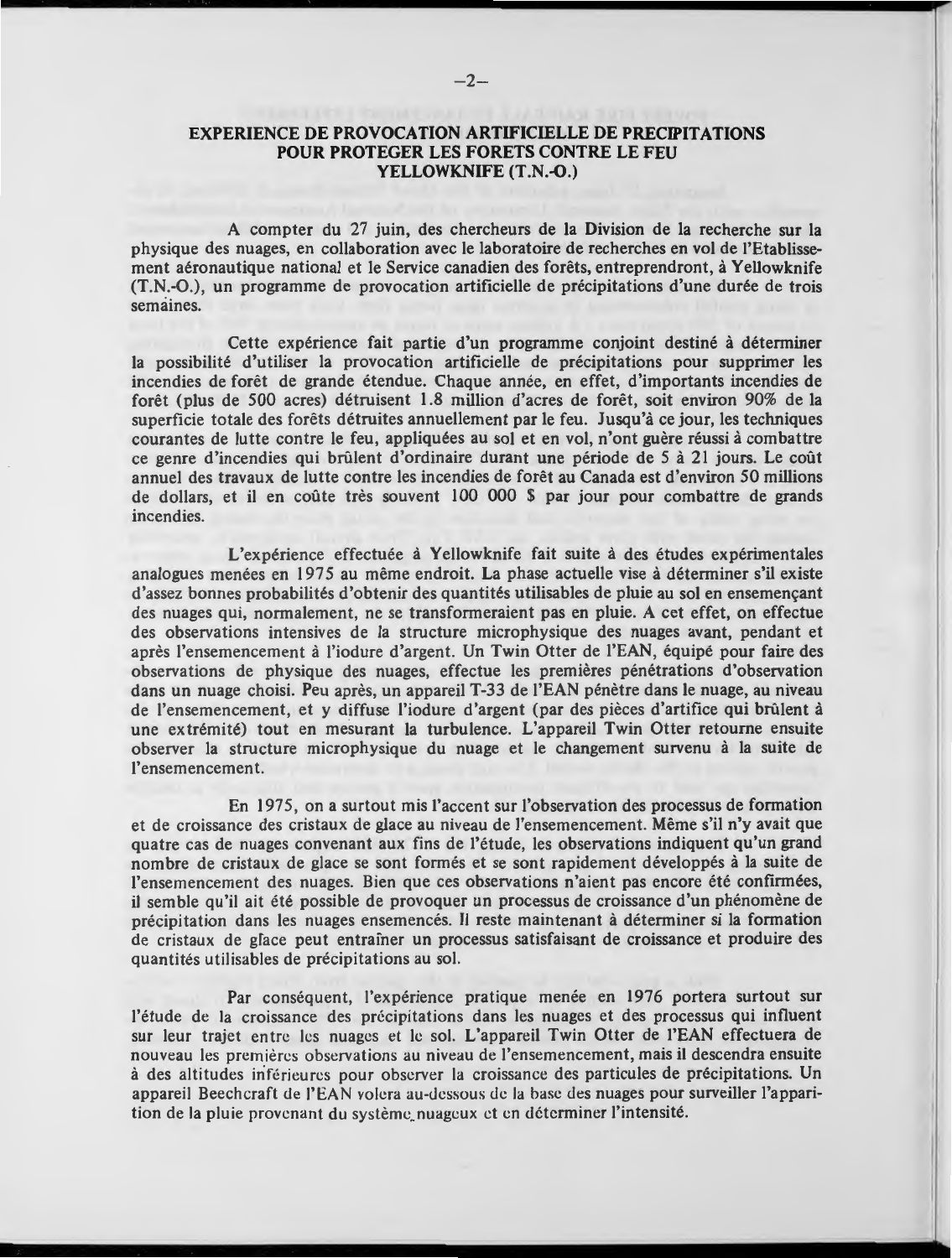#### **EXPERIENCE DE PROVOCATION ARTIFICIELLE DE PRECIPITATIONS POUR PROTEGER LES FORETS CONTRE LE FEU YELLOWKNIFE (T.N.-0.)**

A compter du 27 juin, des chercheurs de la Division de la recherche sur la physique des nuages, en collaboration avec le laboratoire de recherches en vol de l'Etablissement aéronautique national et le Service canadien des forêts, entreprendront, à Yellowknife (T.N\_.-O.), un programme de provocation artificielle de precipitations d'une duree de trois semaines.

Cette expérience fait partie d'un programme conjoint destiné à déterminer la possibilité d'utiliser la provocation artificielle de précipitations pour supprimer les incendies de forêt de grande étendue. Chaque année, en effet, d'importants incendies de foret (plus de 500 acres) detruisent 1.8 million d'acres de foret, soit environ 90% de la superficie totale des forets detruites annuellement par le feu. Jusqu'a ce jour, les techniques courantes de lutte contre le feu, appliquées au sol et en vol, n'ont guère réussi à combattre ce genre d'incendies qui brûlent d'ordinaire durant une période de 5 à 21 jours. Le coût annuel des travaux de lutte contre les incendies de forêt au Canada est d'environ 50 millions de dollars, et il en coûte très souvent 100 000 \$ par jour pour combattre de grands incendies.

L'expérience effectuée à Yellowknife fait suite à des études expérimentales analogues menees en 1975 au meme endroit. **La** phase actuelle vise a determiner s'il existe d'assez bonnes probabilités d'obtenir des quantités utilisables de pluie au sol en ensemençant des nuages qui, normalement, ne se transformeraient pas en pluie. A cet effet, on effectue des observations intensives de la structure microphysique des nuages avant, pendant et après l'ensemencement à l'iodure d'argent. Un Twin Otter de l'EAN, équipé pour faire des observations de physique des nuages, effectue les premières pénétrations d'observation dans un nuage choisi. Peu après, un appareil T-33 de l'EAN pénètre dans le nuage, au niveau de l'ensemencement, et y diffuse l'iodure d'argent (par des pieces d'artifice qui brulent a une ex tremite) tout en mesurant la turbulence. L'appareil Twin Otter retoume ensuite observer la structure microphysique du nuage et le changement survenu à la suite de l'ensemencement.

En 1975 , on a surtout mis !'accent sur !'observation des processus de formation et de croissance des cristaux de glace au niveau de l'ensemencement. Meme s'il n'y avait que quatre cas de nuages convenant aux fins de l'étude, les observations indiquent qu'un grand nombre de cristaux de glace se sont formes et se sont rapidement developpes a la suite de l'ensemencement des nuages. Bien que ces observations n'aient pas encore été confirmées, il semble qu'il ait été possible de provoquer un processus de croissance d'un phénomène de précipitation dans les nuages ensemencés. Il reste maintenant à déterminer si la formation de cristaux de gface peut entrainer un processus satisfaisant de croissance et produire des quantités utilisables de précipitations au sol.

Par conséquent, l'expérience pratique menée en 1976 portera surtout sur l'étude de la croissance des précipitations dans les nuages et des processus qui influent sur leur trajet entre les nuages et le sol. L'appareil Twin Otter de l'EAN effectuera de nouveau les premières observations au niveau de l'ensemencement, mais il descendra ensuite à des altitudes inférieures pour observer la croissance des particules de précipitations. Un appareil Beechcraft de l'EAN volera au-dessous de la base des nuages pour surveiller l'apparition de la pluie provenant du système nuageux et en déterminer l'intensité.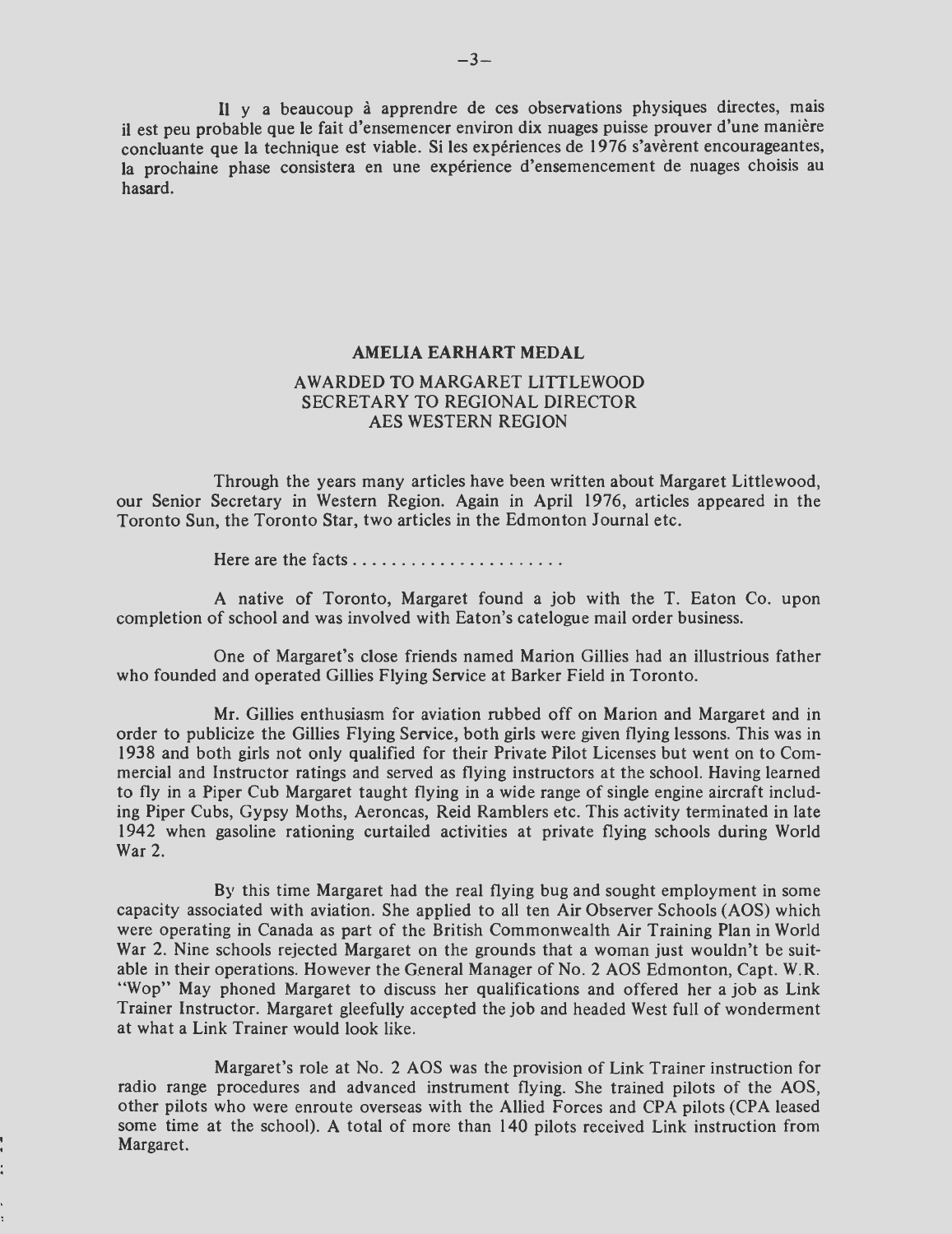**<sup>11</sup>**y a beaucoup a apprendre de ces observations physiques directes, mais ii est peu probable que le fait d'ensemencer environ dix nuages puisse prouver d'une maniere concluante que la technique est viable. Si les expériences de 1976 s'avèrent encourageantes, la prochaine phase consistera en une expérience d'ensemencement de nuages choisis au hasard.

#### **AMELIA EARHART MEDAL**

#### AWARDED TO MARGARET LITTLEWOOD SECRETARY TO REGIONAL DIRECTOR AES WESTERN REGION

Through the years many articles have been written about Margaret Littlewood, our Senior Secretary in Western Region. Again in April 1976, articles appeared in the Toronto Sun, the Toronto Star, two articles in the Edmonton Journal etc.

Here are the facts .... .... ......... ... . .

A native of Toronto, Margaret found a job with the T. Eaton Co. upon completion of school and was involved with Eaton's catelogue mail order business.

One of Margaret's close friends named Marion Gillies had an illustrious father who founded and operated Gillies Flying Service at Barker Field in Toronto.

**Mr.** Gillies enthusiasm for aviation rubbed off on Marion and Margaret and in order to publicize the Gillies Flying Service, both girls were given flying lessons. This was in 1938 and both girls not only qualified for their Private Pilot Licenses but went on to Commercial and Instructor ratings and served as flying instructors at the school. Having learned to fly in a Piper Cub Margaret taught flying in a wide range of single engine aircraft including Piper Cubs, Gypsy Moths, Aeroncas, Reid Ramblers etc. This activity terminated in late 1942 when gasoline rationing curtailed activities at private flying schools during World War 2.

By this time Margaret had the real flying bug and sought employment in some capacity associated with aviation. She applied to all ten Air Observer Schools (AOS) which were operating in Canada as part of the British Commonwealth Air Training Plan in World War 2. Nine schools rejected Margaret on the grounds that a woman just wouldn't be suitable in their operations. However the General Manager of No. 2 AOS Edmonton, Capt. W.R. "Wop" May phoned Margaret to discuss her qualifications and offered her a job as Link Trainer Instructor. Margaret gleefully accepted the job and headed West full of wonderment at what a Link Trainer would look like.

Margaret's role at No. 2 AOS was the provision of Link Trainer instruction for radio range procedures and advanced instrument flying. She trained pilots of the AOS, other pilots who were enroute overseas with the Allied Forces and CPA pilots (CPA leased some time at the school). A total of more than 140 pilots received Link instruction from Margaret.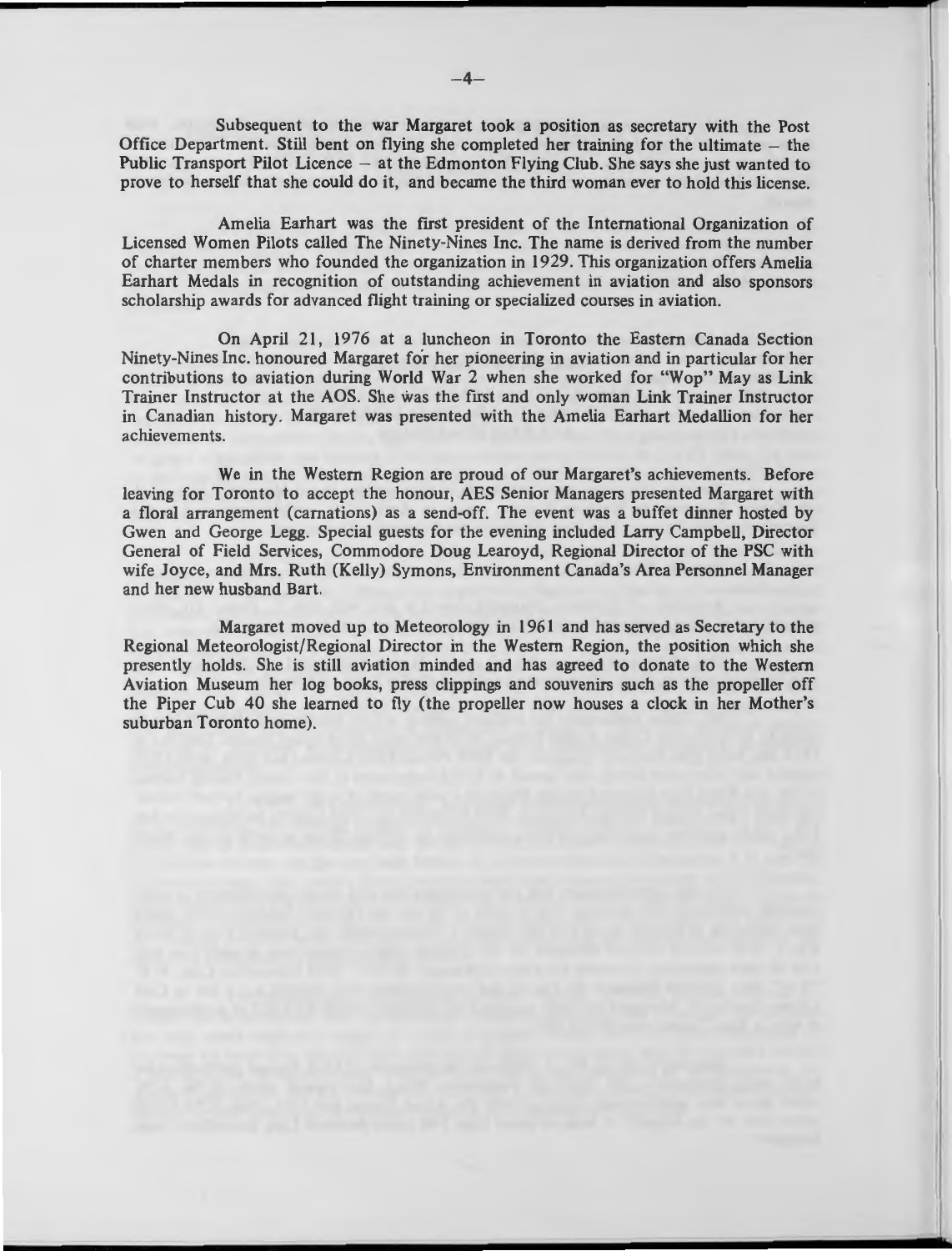Subsequent to the war Margaret took a position as secretary with the Post Office Department. Still bent on flying she completed her training for the ultimate  $-$  the Public Transport Pilot Licence – at the Edmonton Flying Club. She says she just wanted to prove to herself that she could do it, and became the third woman ever to hold this license.

Amelia Earhart was the first president of the International Organization of Licensed Women Pilots called The Ninety-Nines Inc. The name is derived from the number of charter members who founded the organization in 1929. This organization offers Amelia Earhart Medals in recognition of outstanding achievement in aviation and also sponsors scholarship awards for advanced flight training or specialized courses in aviation.

On April 21 , 1976 at a luncheon in Toronto the Eastern Canada Section Ninety-Nines Inc. honoured Margaret for her pioneering in aviation and in particular for her contributions to aviation during World War 2 when she worked for "Wop" May as Link Trainer Instructor at the AOS. She was the first and only woman Link Trainer Instructor in Canadian history. Margaret was presented with the Amelia Earhart Medallion for her achievements.

We in the Western Region are proud of our Margaret's achievements. Before leaving for Toronto to accept the honour, AES Senior Managers presented Margaret with a floral arrangement (carnations) as a send-off. The event was a buffet dinner hosted by Gwen and George Legg. Special guests for the evening included Larry Campbell, Director General of Field Services, Commodore Doug Learoyd, Regional Director of the PSC with wife Joyce, and Mrs. Ruth (Kelly) Symons, Environment Canada's Area Personnel Manager and her new husband Bart.

Margaret moved up to Meteorology in 1961 and has served as Secretary to the Regional Meteorologist/Regional Director in the Western Region, the position which she presently holds. She is still aviation minded and has agreed to donate to the Western Aviation Museum her log books, press clippings and souvenirs such as the propeller off the Piper Cub 40 she learned to fly (the propeller now houses a clock in her Mother's suburban Toronto home).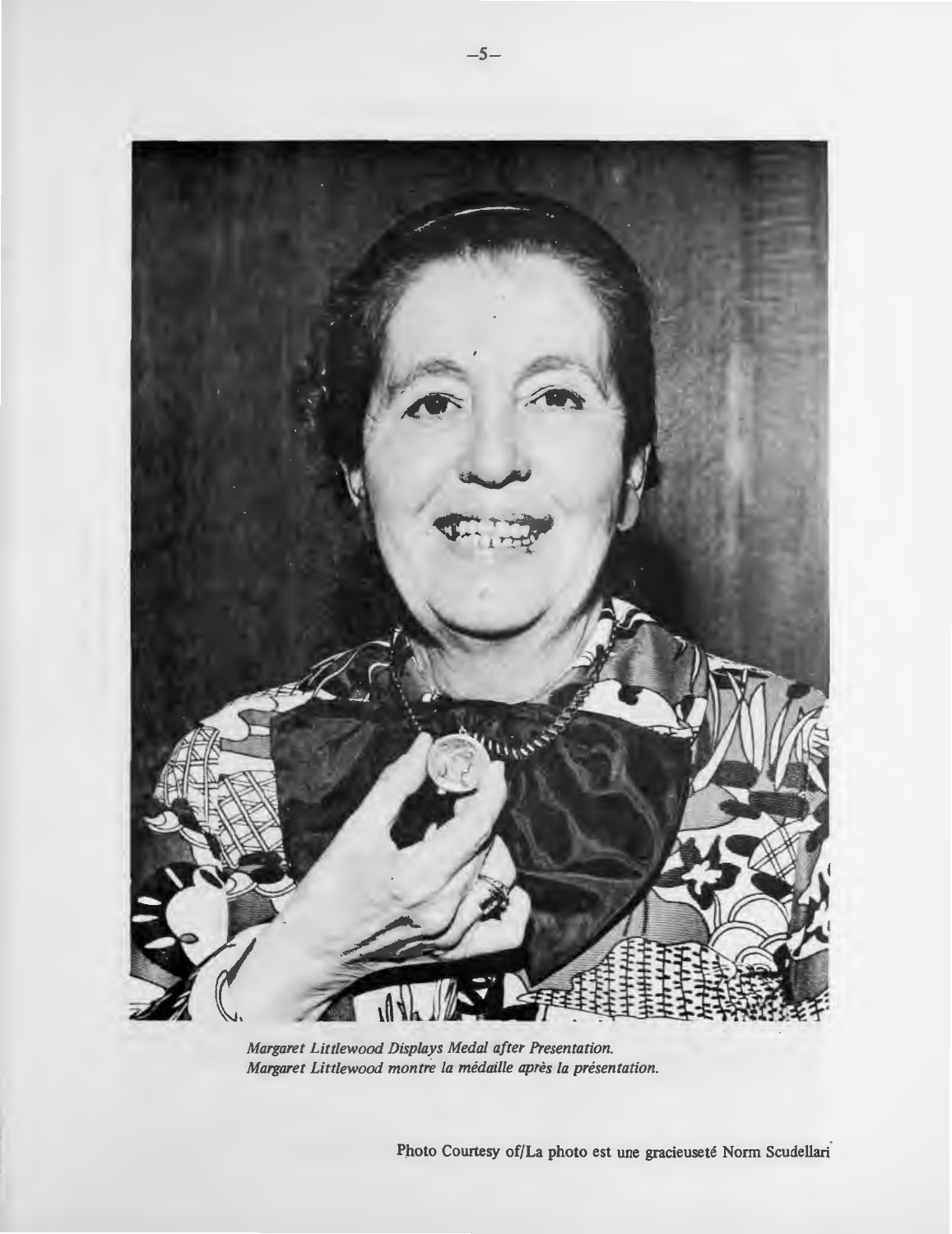

*Margaret Littlewood Displays Medal after Presentation. Margaret Littlewood montre la medaille apres la presentation.* 

Photo Courtesy of/La photo est une gracieuseté Norm Scudellari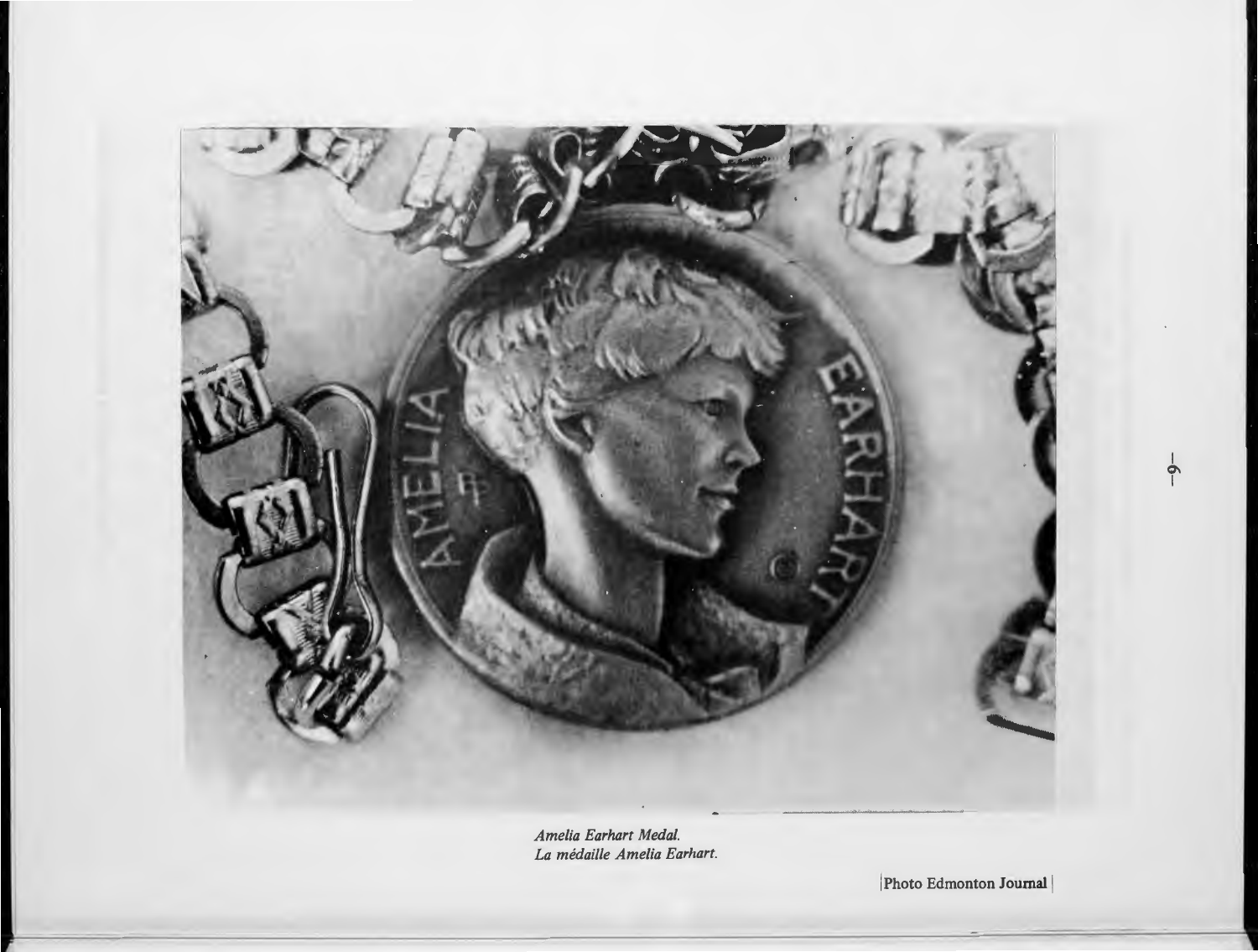

*Amelia Earhart Medal. La medaille Amelia Earhart.* 

Photo Edmonton Journal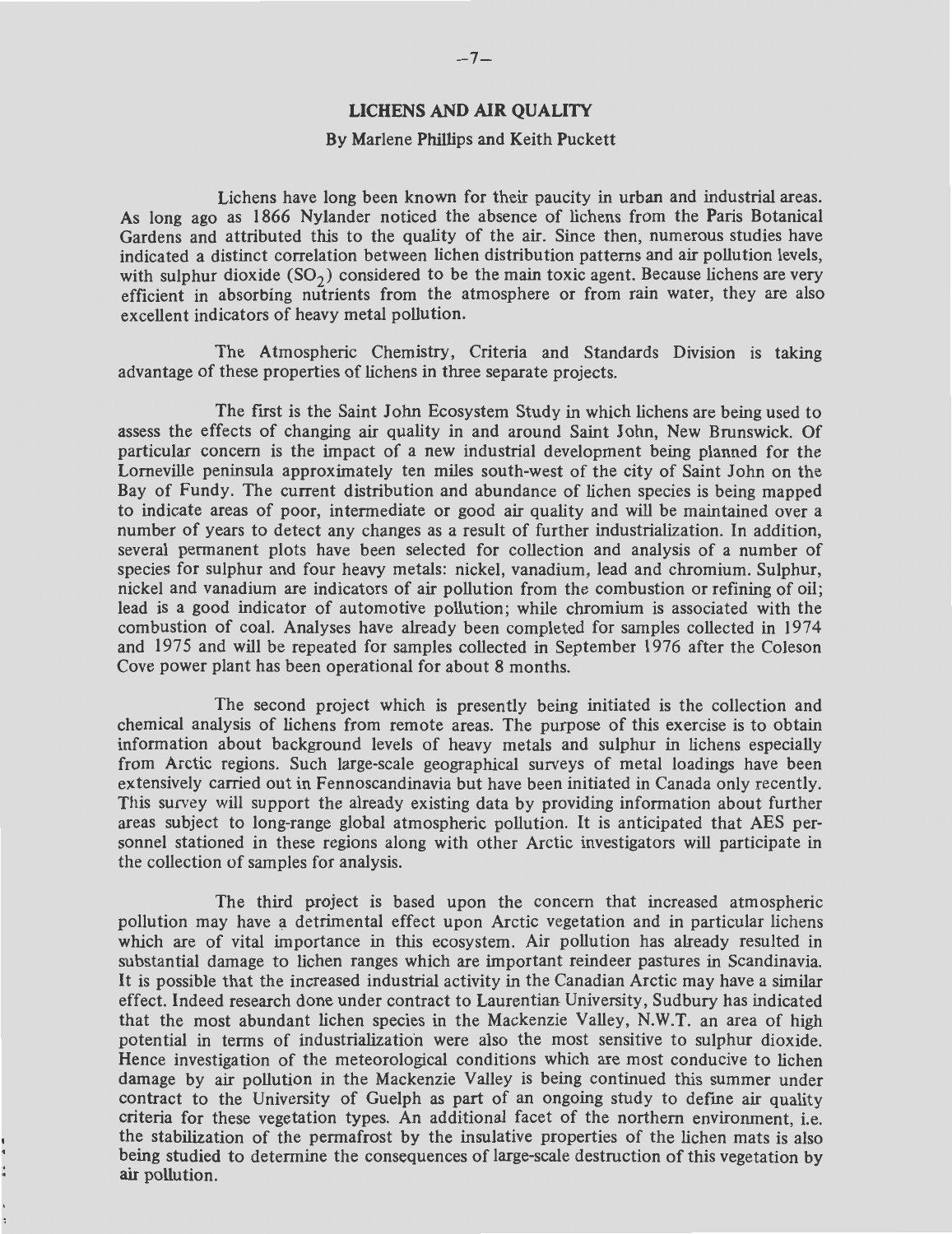#### **LICHENS AND AIR QUALITY**

#### By Marlene Phillips and Keith Puckett

Lichens have long been known for their paucity in urban and industrial areas. As long ago as 1866 Nylander noticed the a\_bsence of lichens from the Paris Botanical Gardens and attributed this to the quality of the air. Since then, numerous studies have indicated a distinct correlation between lichen distribution patterns and air pollution levels, with sulphur dioxide  $(SO<sub>2</sub>)$  considered to be the main toxic agent. Because lichens are very efficient in absorbing nutrients from the atmosphere or from rain water, they are also excellent indicators of heavy metal pollution.

The Atmospheric Chemistry, Criteria and Standards Division is taking advantage of these properties of lichens in three separate projects.

The first is the Saint John Ecosystem Study in which lichens are being used to assess the effects of changing air quality in and around Saint John, New Brunswick. Of particular concern is the impact of a new industrial development being planned for the Lorneville peninsula approximately ten miles south-west of the city of Saint John on the Bay of Fundy. The current distribution and abundance of lichen species is being mapped to indicate areas of poor, intermediate or good air quality and will be maintained over a number of years to detect any changes as a result of further industrialization. In addition, several permanent plots have been selected for collection and analysis of a number of species for sulphur and four heavy metals: nickel, vanadium, lead and chromium. Sulphur, nickel and vanadium are indicators of air pollution from the combustion or refining of oil; lead is a good indicator of automotive pollution; while chromium is associated with the combustion of coal. Analyses have already been completed for samples collected in 1974 and 1975 and will be repeated for samples collected in September 1976 after the Coleson Cove power plant has been operational for about 8 months.

The second project which is presently being initiated is the collection and chemical analysis of lichens from remote areas. The purpose of this exercise is to obtain information about background levels of heavy metals and sulphur in lichens especially from Arctic regions. Such large-scale geographical surveys of metal loadings have been extensively carried out in Fennoscandinavia but have been initiated in Canada only recently. This survey will support the already existing data by providing information about further areas subject to long-range global atmospheric pollution. It is anticipated that AES personnel stationed in these regions along with other Arctic investigators will participate in the collection of samples for analysis.

The third project is based upon the concern that increased atmospheric pollution may have a detrimental effect upon Arctic vegetation and in particular lichens which are of vital importance in this ecosystem. Air pollution has already resulted in substantial damage to lichen ranges which are important reindeer pastures in Scandinavia. It is possible that the increased industrial activity in the Canadian Arctic may have a similar effect. Indeed research done under contract to Laurentian University, Sudbury has indicated that the most abundant lichen species in the Mackenzie Valley, N.W.T. an area of high potential in terms of industrialization were also the most sensitive to sulphur dioxide. Hence investigation of the meteorological conditions which are most conducive to lichen damage by air pollution in the Mackenzie Valley is being continued this summer under contract to the University of Guelph as part of an ongoing study to define air quality criteria for these vegetation types. An additional facet of the northern environment, i.e. the stabilization of the permafrost by the insulative properties of the lichen mats is also being studied to determine the consequences of large-scale destruction of this vegetation by air pollution.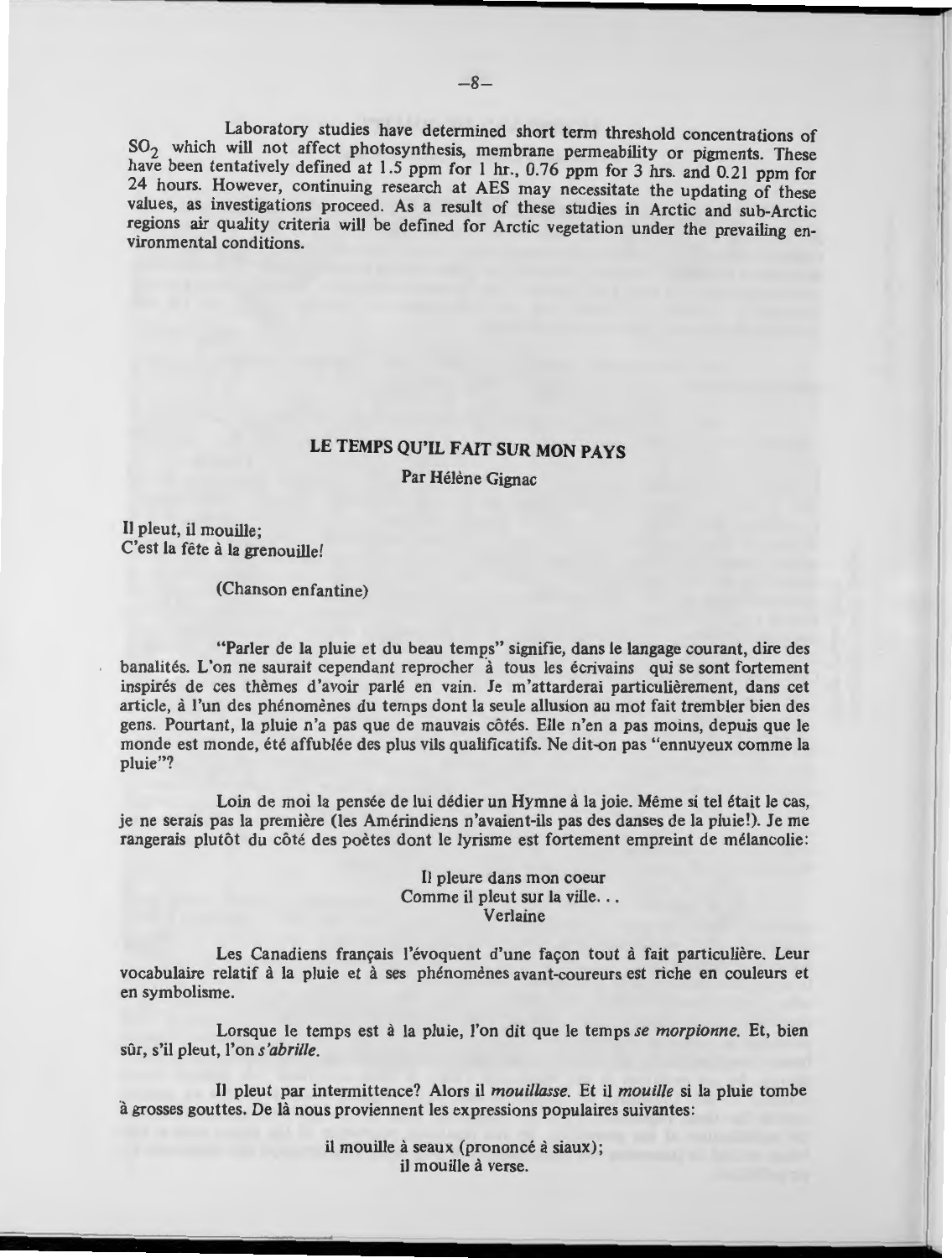Laboratory studies have determined short term threshold concentrations of SO<sub>2</sub> which will not affect photosynthesis, membrane permeability or pigments. These have been tentatively defined at 1.5 ppm for 1 hr., 0.76 ppm for 3 hrs. and 0.21 ppm for 24 hours. However, continuing research at AES may necessitate the updating of these values, as investigations proceed. As a result of these studies in Arctic and sub-Arctic regions air quality criteria will be defined for Arctic vegetation under the prevailing environmental conditions.

### **LE TEMPS QU'IL FAIT SUR MON PAYS**

Par Hélène Gignac

**<sup>11</sup>**pleut, il mouille ; C'est la fête à la grenouille!

(Chanson enfantine)

"Parler de la pluie et du beau temps" signifie, dans le langage courant, dire des banalités. L'on ne saurait cependant reprocher à tous les écrivains qui se sont fortement inspires de ces themes d'avoir parle en vain . Je m'attarderai particulierement, dans cet article, a l'un des phenomenes du temps dont la seule allusion au mot fait trembler bien des gens. Pourtant, la pluie n'a pas que de mauvais cotes. Elle n'en a pas moins, depuis que le monde est monde, ete affublee des plus vils qualificatifs. Ne dit-on pas "ennuyeux comme la pluie"?

Loin de moi la pensée de lui dédier un Hymne à la joie. Même si tel était le cas, je ne serais pas la premiere (les Amerindiens n'avaient-ils pas des danses de la pluie!). Je me rangerais plutôt du côté des poètes dont le lyrisme est fortement empreint de mélancolie:

#### **<sup>11</sup>**pleure dans mon coeur Comme il pleut sur la ville... Verlaine

Les Canadiens français l'évoquent d'une façon tout à fait particulière. Leur vocabulaire relatif à la pluie et à ses phénomènes avant-coureurs est riche en couleurs et en symbolisme.

Lorsque le temps est a la pluie, !'on dit que le temps *se morpionne.* Et, bien sûr, s'il pleut, l'on *s'abrille*.

11 pleut par intermittence? Alors il *mouillasse.* Et ii *mouil/e* si la pluie tombe à grosses gouttes. De là nous proviennent les expressions populaires suivantes:

> il mouille à seaux (prononcé à siaux); il mouille a verse.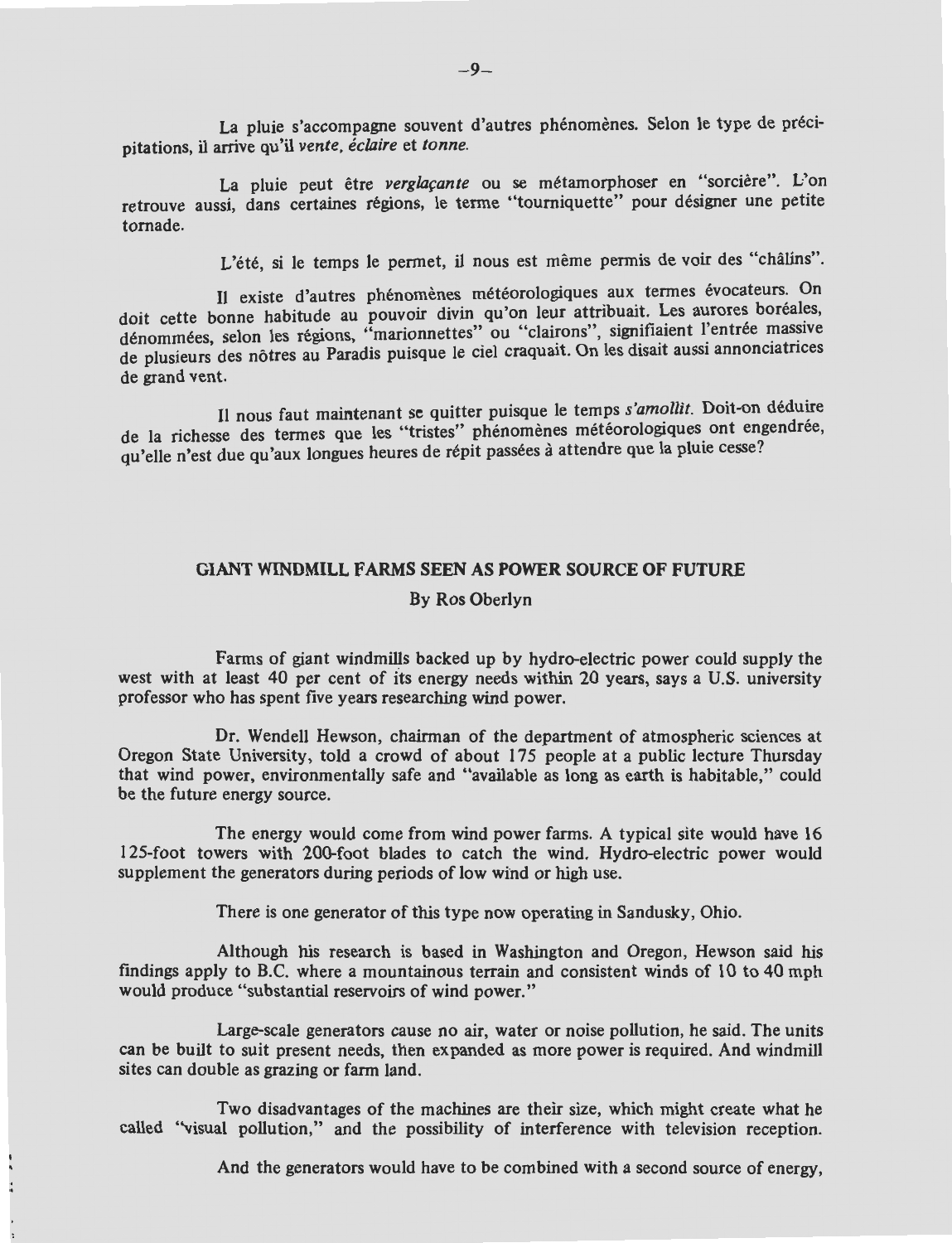La pluie s'accompagne souvent d'autres phénomènes. Selon le type de précipitations, il arrive qu'il *vente, eclaire* et *tonne.* 

La pluie peut être *verglaçante* ou se métamorphoser en "sorcière". L'on retrouve aussi, dans certaines régions, le terme "tourniquette" pour désigner une petite tornade.

L'été, si le temps le permet, il nous est même permis de voir des "châlins".

Il existe d'autres phénomènes météorologiques aux termes évocateurs. On doit cette bonne habitude au pouvoir divin qu'on leur attribuait. Les aurores boréales, dénommées, selon les régions, "marionnettes" ou "clairons", signifiaient l'entrée massive de plusieurs des nôtres au Paradis puisque le ciel craquait. On les disait aussi annonciatrices de grand vent.

11 nous faut maintenant se quitter puisque le temps *s'amollit.* Doit-on deduire de la richesse des termes que les "tristes" phénomènes météorologiques ont engendrée, qu'elle n'est due qu'aux longues heures de répit passées à attendre que la pluie cesse?

#### **GIANT WINDMILL FARMS SEEN AS POWER SOURCE OF FUTURE**

#### By Ros Oberlyn

Farms of giant windmills backed up by hydro-electric power could supply the west with at least 40 per cent of its energy needs within 20 years, says a U.S. university professor who has spent five years researching wind power.

Dr. Wendell Hewson, chairman of the department of atmospheric sciences at Oregon State University, told a crowd of about 175 people at a public lecture Thursday that wind power, environmentally safe and "available as long as earth is habitable," could be the future energy source.

The energy would come from wind power farms. A typical site would have 16 125-foot towers with 200-foot blades to catch the wind. Hydro-electric power would supplement the generators during periods of low wind or high use.

There is one generator of this type now operating in Sandusky, Ohio.

Although his research is based in Washington and Oregon, Hewson said his findings apply to B.C. where a mountainous terrain and consistent winds of IO to 40 mph would produce "substantial reservoirs of wind power."

Large-scale generators cause no air, water or noise pollution, he said. The units can be built to suit present needs, then expanded as more power is required. And windmill sites can double as grazing or farm land.

Two disadvantages of the machines are their size, which might create what he called ''visual pollution," and the possibility of interference with television reception.

And the generators would have to be combined with a second source of energy,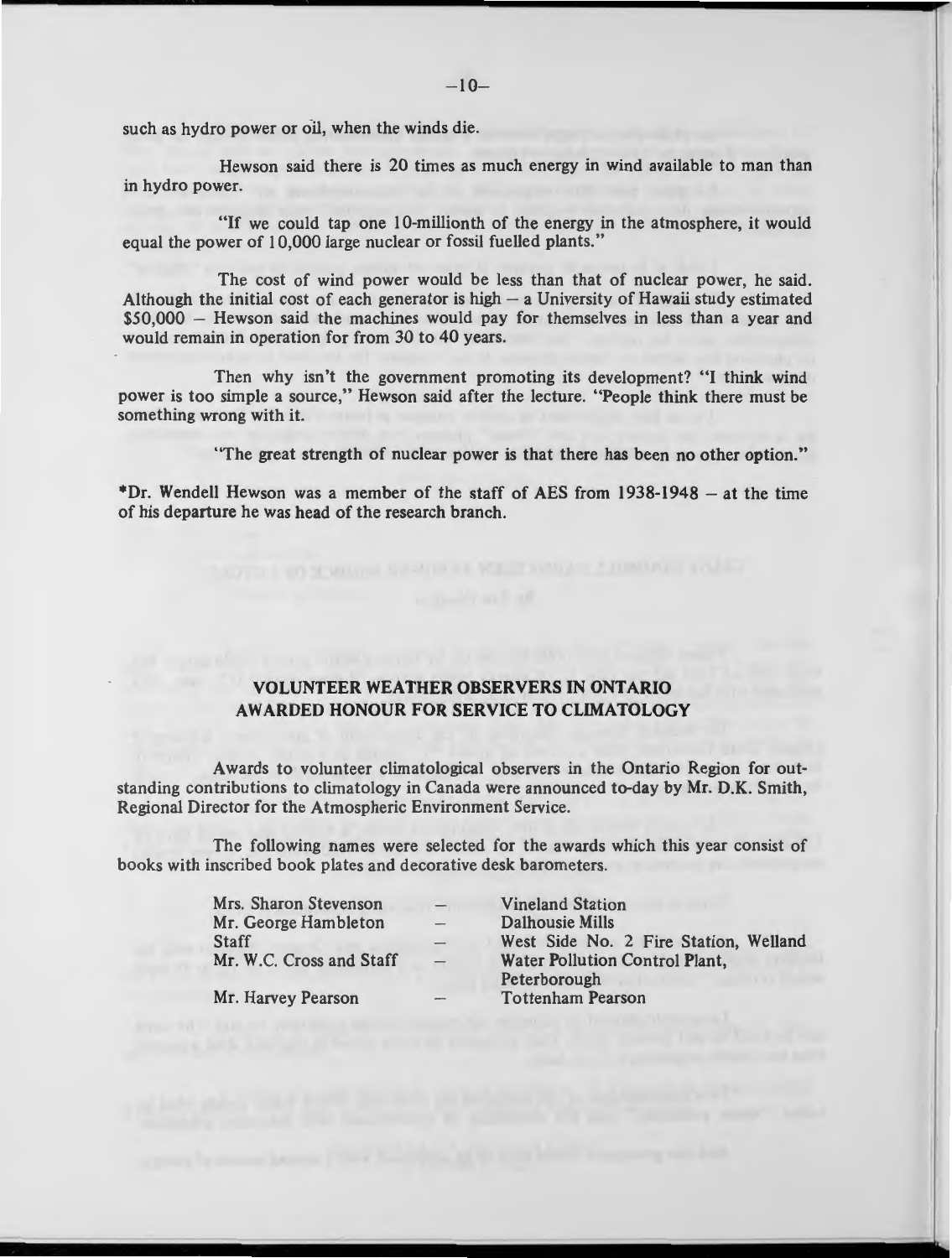such as hydro power or oil, when the winds die.

Hewson said there is 20 times as much energy in wind available to man than in hydro power.

"If we could tap one 10-millionth of the energy in the atmosphere, it would equal the power of 10,000 large nuclear or fossil fuelled plants."

The cost of wind power would be less than that of nuclear power, he said. Although the initial cost of each generator is high  $-$  a University of Hawaii study estimated \$50,000 - Hewson said the machines would pay for themselves in less than a year and would remain in operation for from 30 to 40 years.

Then why isn't the government promoting its development? "I think wind power is too simple a source," Hewson said after the lecture. "People think there must be something wrong with it.

"The great strength of nuclear power is that there has been no other option."

\*Dr. Wendell Hewson was a member of the staff of AES from  $1938-1948 -$  at the time of his departure he was head of the research branch.

#### **VOLUNTEER WEATHER OBSERVERS** IN **ONTARIO AWARDED HONOUR FOR SERVICE TO CLIMATOLOGY**

Awards to volunteer climatological observers in the Ontario Region for outstanding contributions to climatology in Canada were announced to-day by **Mr. D.K.** Smith, Regional Director for the Atmospheric Environment Service.

The following names were selected for the awards which this year consist of books with inscribed book plates and decorative desk barometers.

> Mrs. Sharon Stevenson **Mr.** George Hambleton **Staff** Mr. W.C. Cross and Staff

Mr. Harvey Pearson

Vineland Station Dalhousie Mills West Side No. 2 Fire Station, Welland Water Pollution Control Plant,

Peterborough Tottenham Pearson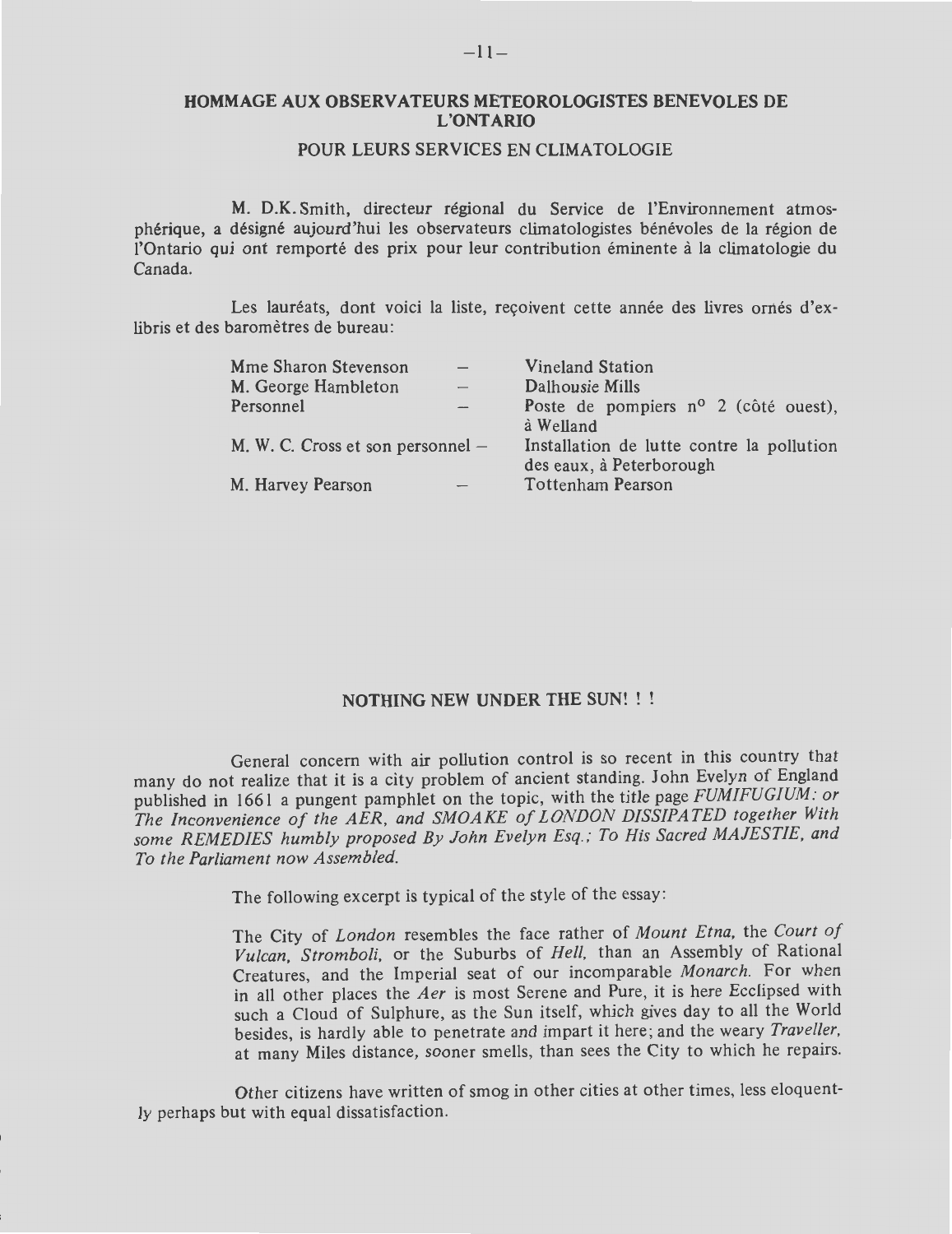#### **HOMMAGE AUX OBSERVATEURS METEOROLOGISTES BENEVOLES DE L'ONTARIO**

#### POUR LEURS SERVICES EN CLIMATOLOGIE

M. D.K. Smith, directeur regional du Service de l'Environnement atmospherique, a designe aujourd'hui Jes observateurs clirnatologistes benevoles de la region de l'Ontario qui ont remporté des prix pour leur contribution éminente à la climatologie du Canada.

Les lauréats, dont voici la liste, reçoivent cette année des livres ornés d'exlibris et des baromètres de bureau:

| Mme Sharon Stevenson              | <b>Vineland Station</b>                                               |  |  |
|-----------------------------------|-----------------------------------------------------------------------|--|--|
| M. George Hambleton               | Dalhousie Mills                                                       |  |  |
| Personnel                         | Poste de pompiers $n^{\circ}$ 2 (côté ouest),                         |  |  |
|                                   | à Welland                                                             |  |  |
| M. W. C. Cross et son personnel – | Installation de lutte contre la pollution<br>des eaux, à Peterborough |  |  |
| M. Harvey Pearson                 | Tottenham Pearson                                                     |  |  |

#### **NOTHING NEW UNDER THE SUN!**

General concern with air pollution control is so recent in this country that many do not realize that it is a city problem of ancient standing. John Evelyn of England published in 1661 a pungent pamphlet on the topic, with the title page *FUMIFUGIUM : or The Inconvenience of the AER, and SMOAKE of LONDON DISSIPATED together With some REMEDIES humbly proposed By John Evelyn Esq. ; To His Sacred MAJESTIE, and To the Parliament now Assembled.* 

The following excerpt is typical of the style of the essay :

The City of *London* resembles the face rather of *Mount Etna,* the *Court of Vulcan, Stromboli,* or the Suburbs of *Hell,* than an Assembly of Rational Creatures, and the Imperial seat of our incomparable *Monarch*. For when in all other places the *Aer* is most Serene and Pure, it is here Ecclipsed with such a Cloud of Sulphure, as the Sun itself, which gives day to all the World besides, is hardly able to penetrate and impart it here ; and the weary *Traveller,*  at many Miles distance, sooner smells, than sees the City to which he repairs.

Other citizens have written of smog in other cities at other times, less eloquently perhaps but with equal dissatisfaction.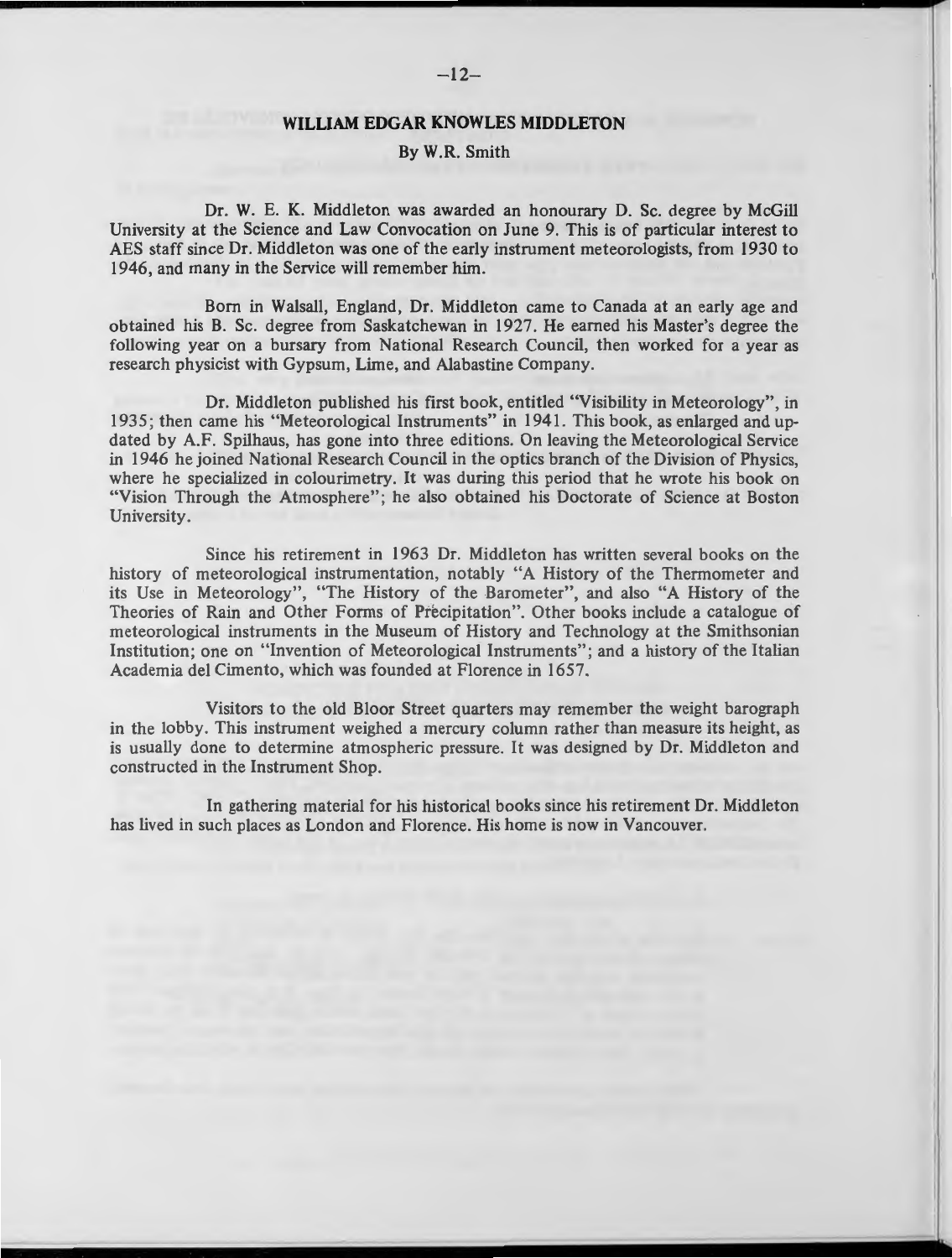#### **WILLIAM EDGAR KNOWLES MIDDLETON**

#### By W.R. Smith

Dr. W. E. K. Middleton was awarded an honourary D. Sc. degree by McGill University at the Science and Law Convocation on June 9. This is of particular interest to AES staff since Dr. Middleton was one of the early instrument meteorologists, from 1930 to 1946, and many in the Service will remember him.

Born in Walsall, England, Dr. Middleton came to Canada at an early age and obtained his B. Sc. degree from Saskatchewan in 1927. He earned his Master's degree the following year on a bursary from National Research Council, then worked for a year as research physicist with Gypsum, Lime, and Alabastine Company.

Dr. Middleton published his first book, entitled "Visibility in Meteorology", in 1935; then came his "Meteorological Instruments" in 1941. This book, as enlarged and updated by A.F. Spilhaus, has gone into three editions. On leaving the Meteorological Service in 1946 he joined National Research Council in the optics branch of the Division of Physics, where he specialized in colourimetry. It was during this period that he wrote his book on "Vision Through the Atmosphere"; he also obtained his Doctorate of Science at Boston University.

Since his retirement in 1963 Dr. Middleton has written several books on the history of meteorological instrumentation, notably "A History of the Thermometer and its Use in Meteorology", "The History of the Barometer", and also "A History of the Theories of Rain and Other Forms of Precipitation". Other books include a catalogue of meteorological instruments in the Museum of History and Technology at the Smithsonian Institution; one on "Invention of Meteorological Instruments"; and a history of the Italian Academia del Cimento, which was founded at Florence in 1657.

Visitors to the old Bloor Street quarters may remember the weight barograph in the lobby. This instrument weighed a mercury column rather than measure its height, as is usually done to determine atmospheric pressure. It was designed by Dr. Middleton and constructed in the Instrument Shop.

In gathering material for his historical books since his retirement Dr. Middleton has lived in such places as London and Florence. His home is now in Vancouver.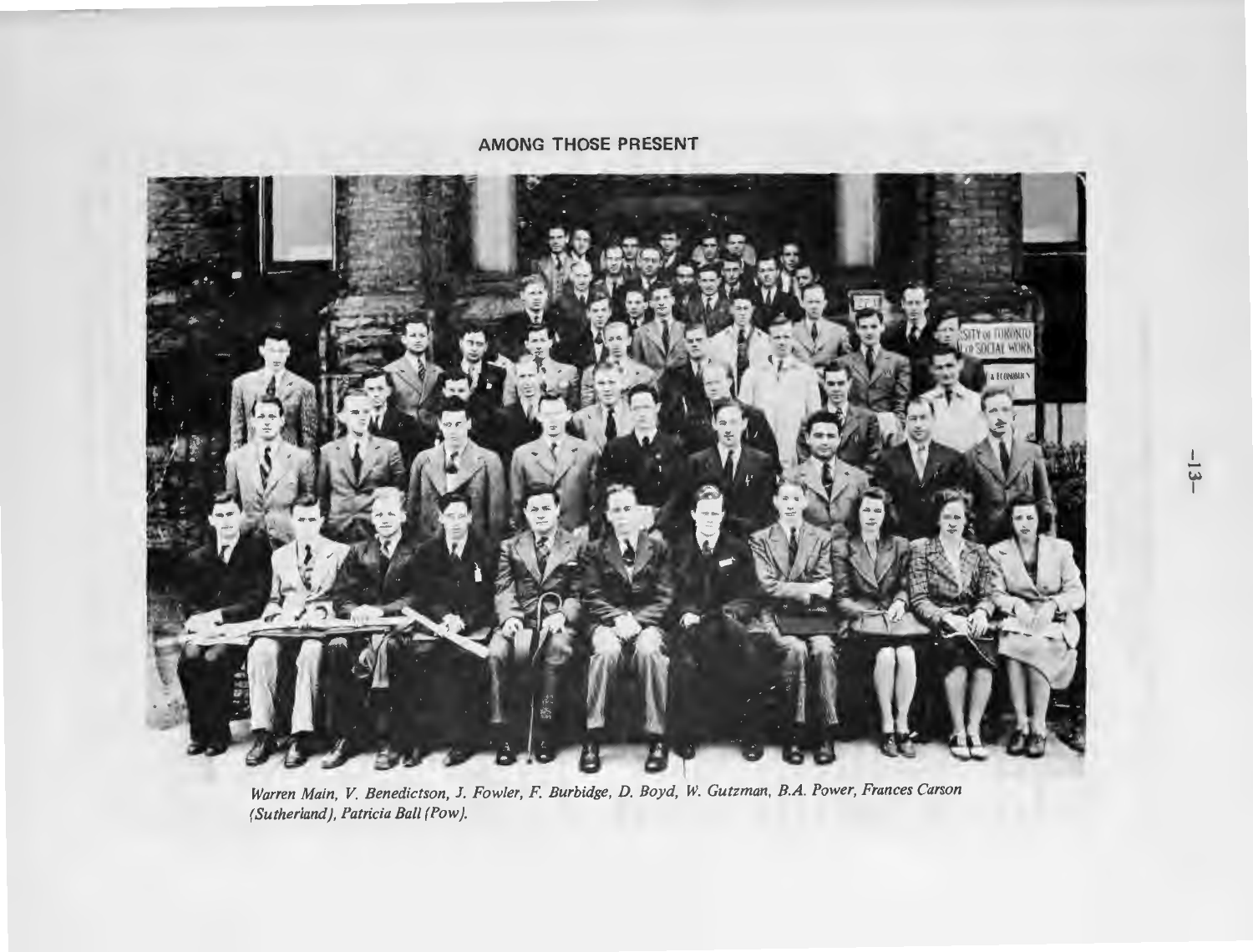#### **AMONG THOSE PRESENT**



*Warren Main, V. Benedictson,* J. *Fowler,* F. *Burbidge, D. Boyd, W. Gutzman, B.A. Power, Frances Carson (Sutherland), Patricia Ball (Pow).*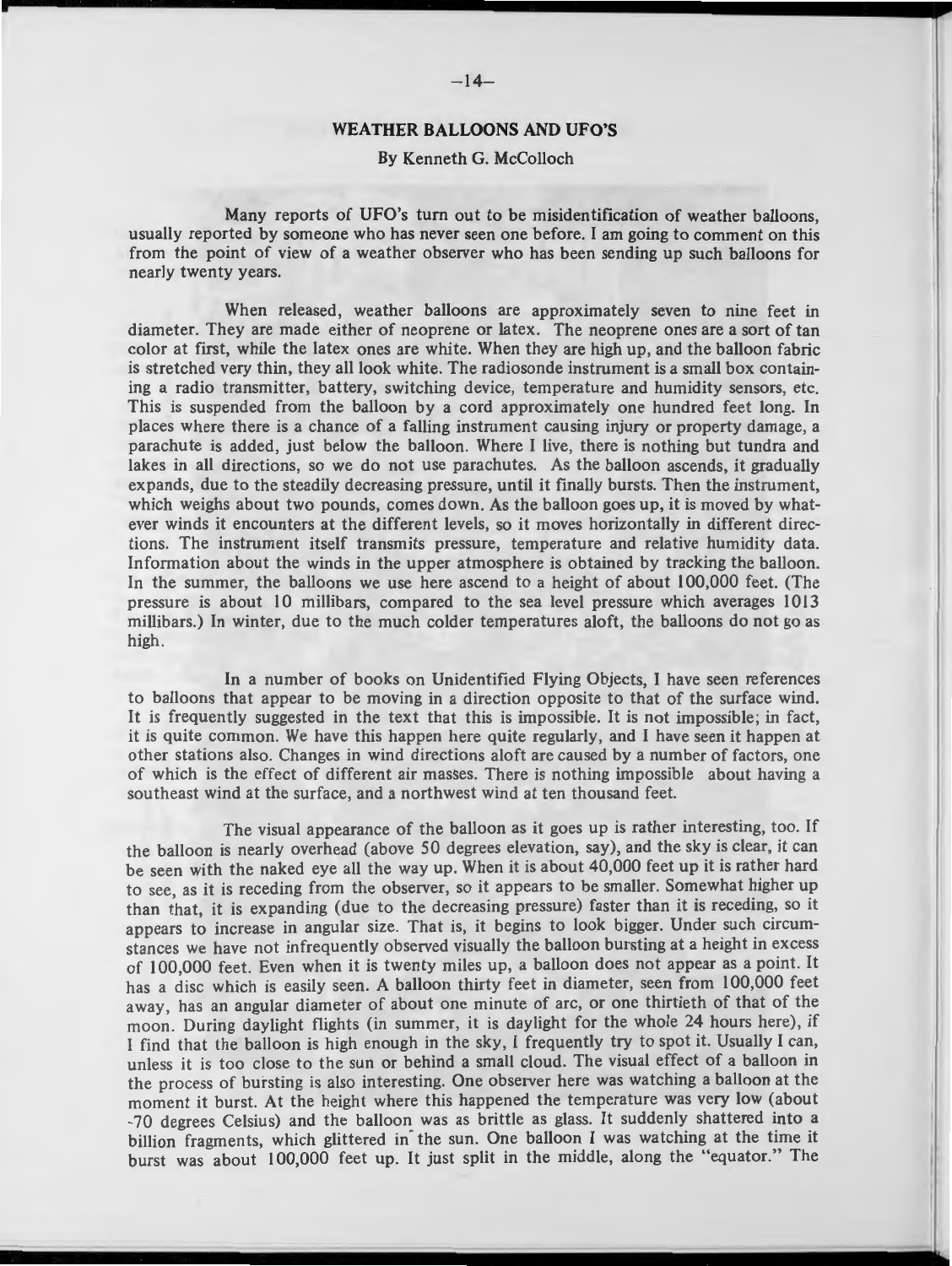#### **WEATHER BALLOONS AND UFO'S**

#### By Kenneth G. McColloch

Many reports of UFO's turn out to be misidentification of weather balloons, usually reported by someone who has never seen one before. I am going to comment on this from the point of view of a weather observer who has been sending up such balloons for nearly twenty years.

When released, weather balloons are approximately seven to nine feet in diameter. They are made either of neoprene or latex. The neoprene ones are a sort of tan color at first, while the latex ones are white. When they are high up, and the balloon fabric is stretched very thin, they all look white. The radiosonde instrument is a small box containing a radio transmitter, battery, switching device, temperature and humidity sensors, etc. This is suspended from the balloon by a cord approximately one hundred feet long. In places where there is a chance of a falling instrument causing injury or property damage, a parachute is added, just below the balloon. Where I live, there is nothing but tundra and lakes in all directions, so we do not use parachutes. As the balloon ascends, it gradually expands, due to the steadily decreasing pressure, until it finally bursts. Then the instrument, which weighs about two pounds, comes down. As the balloon goes up, it is moved by whatever winds it encounters at the different levels, so it moves horizontally in different directions. The instrument itself transmits pressure, temperature and relative humidity data. Information about the winds in the upper atmosphere is obtained by tracking the balloon. In the summer, the balloons we use here ascend to a height of about 100,000 feet. (The pressure is about 10 millibars, compared to the sea level pressure which averages 1013 millibars.) In winter, due to the much colder temperatures aloft, the balloons do not go as high.

In a number of books on Unidentified Flying Objects, I have seen references to balloons that appear to be moving in a direction opposite to that of the surface wind. It is frequently suggested in the text that this is impossible. It is not impossible; in fact, it is quite common. We have this happen here quite regularly, and I have seen it happen at other stations also. Changes in wind directions aloft are caused by a number of factors, one of which is the effect of different air masses. There is nothing impossible about having a southeast wind at the surface, and a northwest wind at ten thousand feet.

The visual appearance of the balloon as it goes up is rather interesting, too. If the balloon is nearly overhead (above 50 degrees elevation, say), and the sky is clear, it can be seen with the naked eye all the way up. When it is about 40,000 feet up it is rather hard to see, as it is receding from the observer, so it appears to be smaller. Somewhat higher up than that, it is expanding (due to the decreasing pressure) faster than it is receding, so it appears to increase in angular size. That is, it begins to look bigger. Under such circumstances we have not infrequently observed visually the balloon bursting at a height in excess of 100,000 feet. Even when it is twenty miles up, a balloon does not appear as a point. It has a disc which is easily seen. A balloon thirty feet in diameter, seen from 100,000 feet away, has an angular diameter of about one minute of arc, or one thirtieth of that of the moon. During daylight flights (in summer, it is daylight for the whole 24 hours here), if I find that the balloon is high enough in the sky, I frequently try to spot it. Usually I can, unless it is too close to the sun or behind a small cloud. The visual effect of a balloon in the process of bursting is also interesting. One observer here was watching a balloon at the moment it burst. At the height where this happened the temperature was very low (about -70 degrees Celsius) and the balloon was as brittle as glass. It suddenly shattered into a billion fragments, which glittered in the sun. One balloon I was watching at the time it burst was about 100,000 feet up. It just split in the middle, along the "equator." The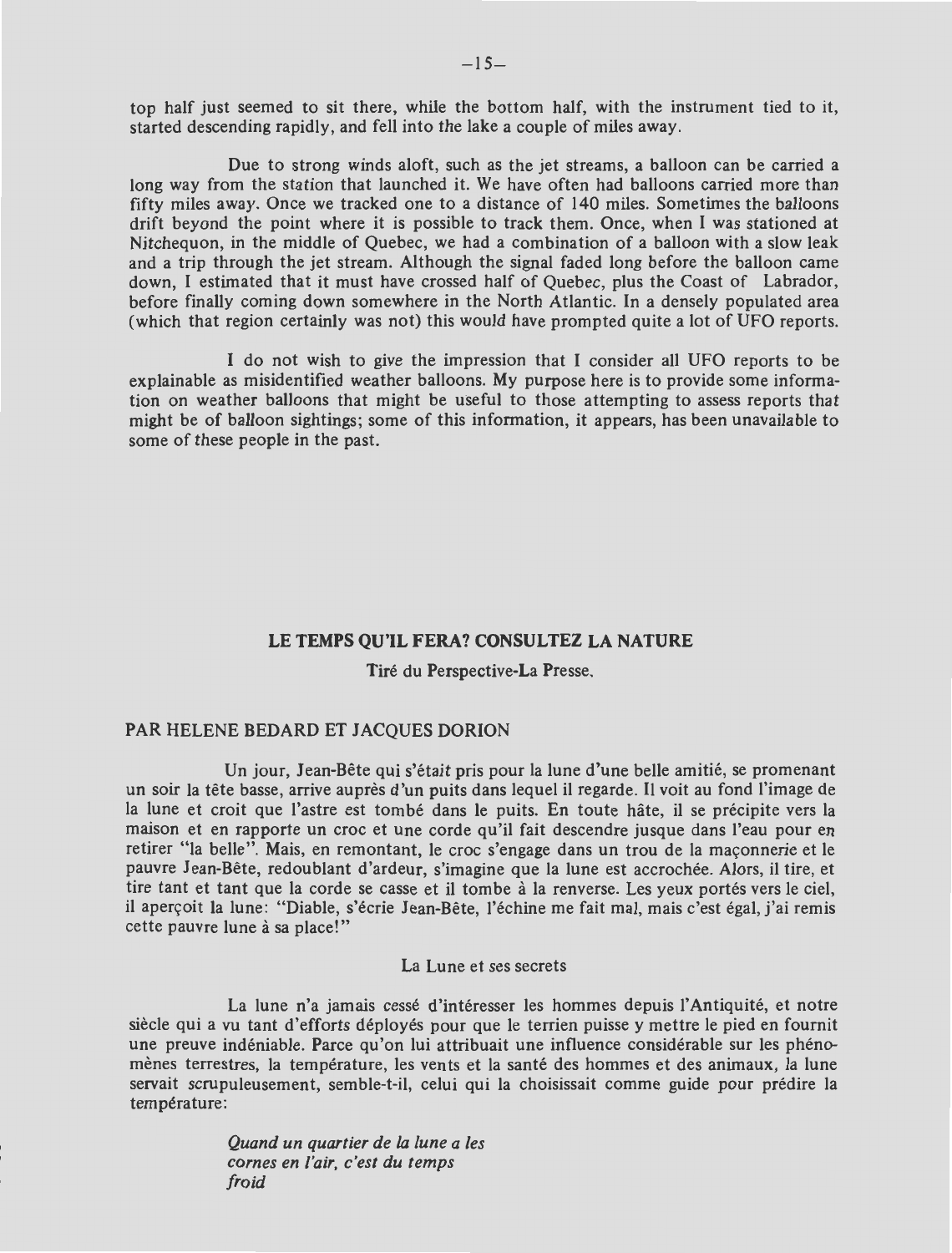top half just seemed to sit there, while the bottom half, with the instrument tied to it, started descending rapidly, and fell into the lake a couple of miles away.

Due to strong winds aloft, such as the jet streams, a balloon can be carried a long way from the station that launched it. We have often had balloons carried more than fifty miles away. Once we tracked one to a distance of 140 miles. Sometimes the balloons drift beyond the point where it is possible to track them. Once, when I was stationed at Nitchequon, in the middle of Quebec, we had a combination of a balloon with a slow leak and a trip through the jet stream. Although the signal faded long before the balloon came down, I estimated that it must have crossed half of Quebec, plus the Coast of Labrador, before finally coming down somewhere in the North Atlantic. In a densely populated area (which that region certainly was not) this would have prompted quite a lot of UFO reports.

I do not wish to give the impression that I consider all UFO reports to be explainable as misidentified weather balloons. My purpose here is to provide some information on weather balloons that might be useful to those attempting to assess reports that might be of balloon sightings; some of this information, it appears, has been unavailable to some of these people in the past.

#### **LE TEMPS QU'IL FERA? CONSULTEZ LA NATURE**

#### Tire du Perspective-La Presse.

#### PAR HELENE BEDARD ET JACQUES DORION

Un jour, Jean-Bête qui s'était pris pour la lune d'une belle amitié, se promenant un soir la tete basse, arrive aupres d'un puits dans lequel ii regarde. II voit au fond J'image de la lune et croit que l'astre est tombe dans le puits. En toute hate, ii se precipite vers la maison et en rapporte un croc et une corde qu'il fait descendre jusque dans l'eau pour en retirer "la belle". Mais, en remontant, le croc s'engage dans un trou de la maçonnerie et le pauvre Jean-Bete, redoublant d'ardeur, s'imagine que la lune est accrochee. Alors, ii tire, et tire tant et tant que la corde se casse et il tombe à la renverse. Les yeux portés vers le ciel, il aperçoit la lune: "Diable, s'écrie Jean-Bête, l'échine me fait mal, mais c'est égal, j'ai remis cette pauvre lune à sa place!"

#### La Lune et ses secrets

La lune n'a jamais cessé d'intéresser les hommes depuis l'Antiquité, et notre siècle qui a vu tant d'efforts déployés pour que le terrien puisse y mettre le pied en fournit une preuve indéniable. Parce qu'on lui attribuait une influence considérable sur les phénomènes terrestres, la température, les vents et la santé des hommes et des animaux, la lune servait scrupuleusement, semble-t-il, celui qui la choisissait comme guide pour predire la température:

> *Quand un quartier de la lune a /es cornes en /'air, c 'est du temps froid*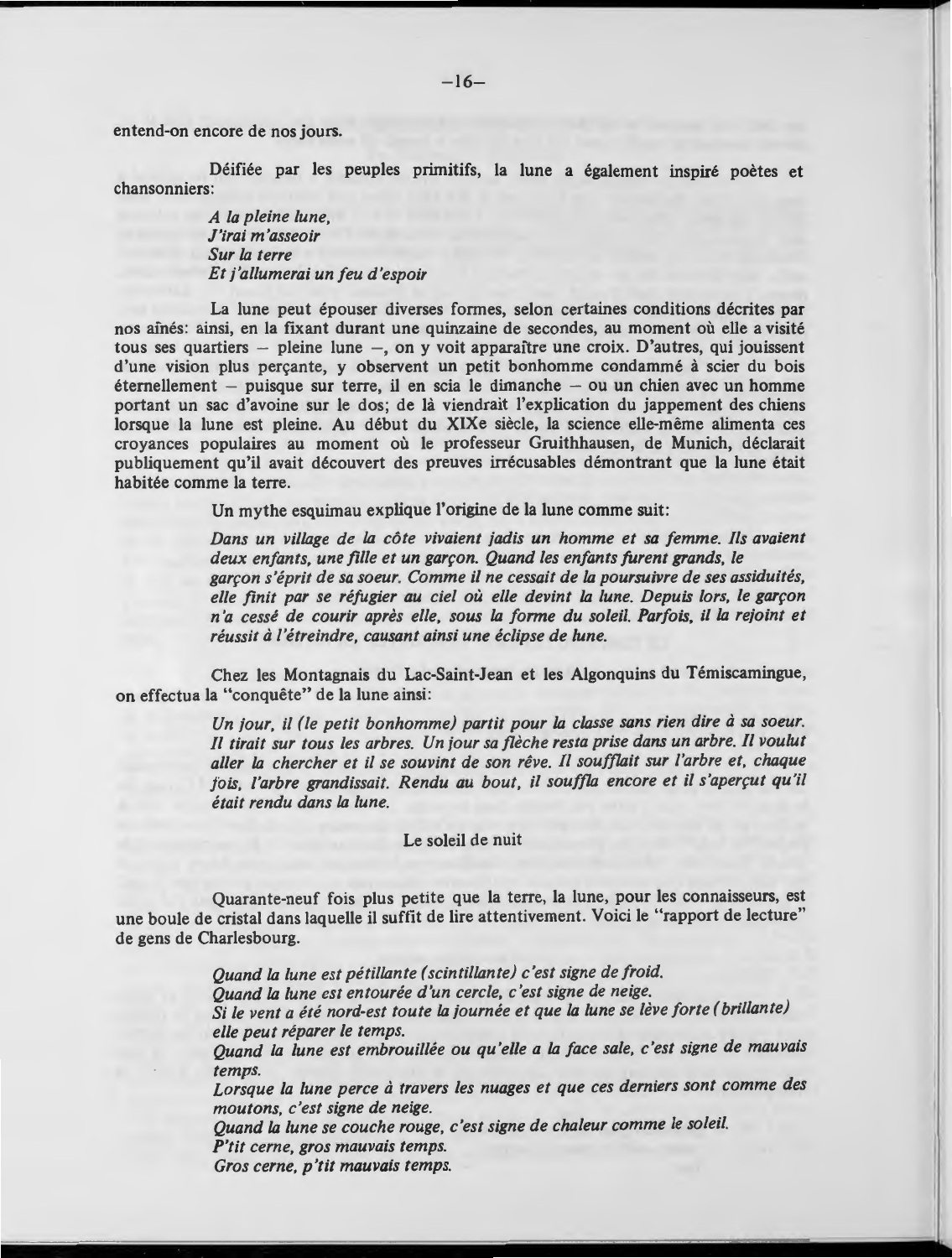entend-on encore de nos jours.

Déifiée par les peuples primitifs, la lune a également inspiré poètes et chansonniers:

> *A la pleine lune, J'irai m 'asseoir Sur la terre Et j'allumerai un feu d'espoir*

La lune peut épouser diverses formes, selon certaines conditions décrites par nos ainés: ainsi, en la fixant durant une quinzaine de secondes, au moment où elle a visité tous ses quartiers - pleine lune -, on y voit apparaître une croix. D'autres, qui jouissent d'une vision plus perçante, y observent un petit bonhomme condammé à scier du bois  $eternellement - puisque sur terre, il en scia le dimanche - ou un chien avec un homme$ portant un sac d'avoine sur le dos; de là viendrait l'explication du jappement des chiens lorsque la lune est pleine. Au début du XIXe siècle, la science elle-même alimenta ces croyances populaires au moment ou le professeur Gruithhausen, de Munich, declarait publiquement qu'il avait decouvert des preuves irrecusables demontrant que la lune etait habitée comme la terre.

Un mythe esquimau explique l'origine de la lune comme suit:

*Dans un village de la cote vivaient jadis un homme et sa femme. !ls avaient*  deux enfants, une fille et un garçon. Quand les enfants furent grands, le *gar9on s'eprit de sa soeur. Comme* ii *ne cessait de la poursuivre de ses assiduites,*  elle finit par se réfugier au ciel où elle devint la lune. Depuis lors, le garçon *n 'a cesse de courir apres elle. sous la forme du soleil. Parfois,* ii *la rejoint et reussit* a *l'etreindre, causant ainsi une eclipse de lune.* 

Chez les Montagnais du Lac-Saint-Jean et les Algonquins du Temiscamingue, on effectua la "conquete" de la lune ainsi:

> Un jour, il *(le petit bonhomme) partit pour la classe sans rien dire à sa soeur.* Il tirait sur tous les arbres. Un jour sa flèche resta prise dans un arbre. Il voulut aller la chercher et il se souvint de son rêve. Il soufflait sur l'arbre et, chaque fois, l'arbre grandissait. Rendu au bout, il souffla encore et il s'aperçut qu'il *etait rendu dans la lune.*

#### Le soleil de nuit

Quarante-neuf fois plus petite que la terre, la lune, pour les connaisseurs, est une boule de cristal dans laquelle ii suffit de lire attentivement. Voici le "rapport de lecture" de gens de Charlesbourg.

> *Quand la lune est petillante ( scintillante) c 'est signe de froid.*  Quand la lune est entourée d'un cercle, c'est signe de neige. *Si le vent a ete nord-est toute la journee et que la lune se /eve forte ( brillante) elle peut reparer le temps. Quand la lune est embrouillee ou qu'elle a la face sale. c'est signe de mauvais temps.*  Lorsque la lune perce à *travers les nuages et que ces derniers sont comme des moutons, c'est signe de neige. Quand la lune se couche rouge, c'est signe de chaleur comme le soleil.*  **P'tit** *cerne, gros mauvais temps.*

*Gros cerne, p* 'tit *mauvais temps.*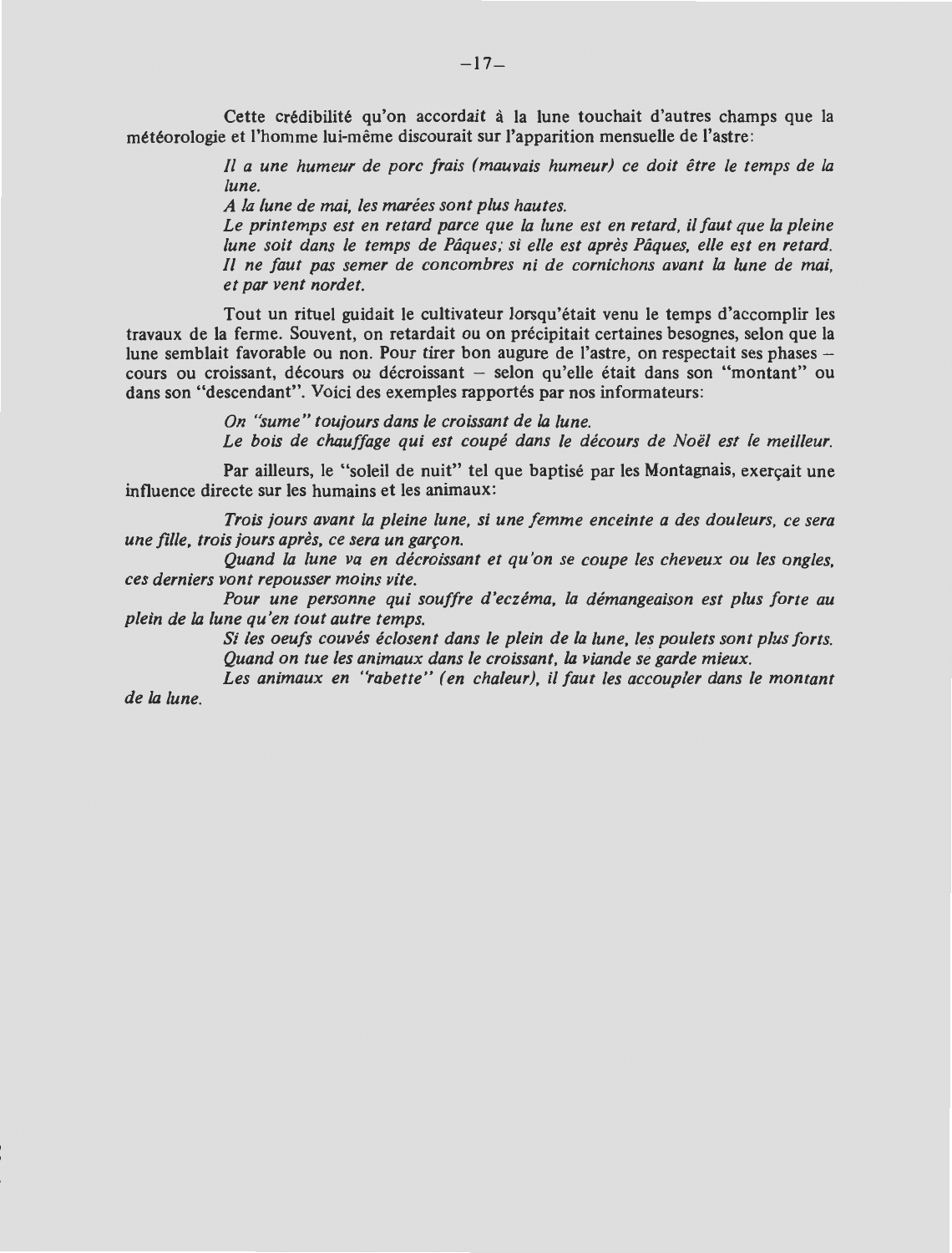Cette crédibilité qu'on accordait à la lune touchait d'autres champs que la météorologie et l'homme lui-même discourait sur l'apparition mensuelle de l'astre:

> 1/ *a une humeur de pore frais (mauvais humeur) ce doit etre le temps de la lune.*

*A la lune de mai, /es marees sont plus hautes.* 

*de la lune.* 

*Le printemps est en retard parce que* la *lune est en retard, ii faut que la pleine lune soit dans le temps de Pâques; si elle est après Pâques, elle est en retard.* 1/ *ne faut pas semer de concombres ni de cornichons avant* la *lune de mai, et par vent nordet.* 

Tout un rituel guidait le cultivateur lorsqu'était venu le temps d'accomplir les travaux de la ferme. Souvent, on retardait ou on precipitait certaines besognes, selon que la lune semblait favorable ou non. Pour tirer bon augure de l'astre, on respectait ses phases  $$ cours ou croissant, décours ou décroissant - selon qu'elle était dans son "montant" ou dans son "descendant". Voici des exemples rapportés par nos informateurs:

> *On "sume" toujours dans le croissant de* la *lune.*  Le bois de chauffage qui est coupé dans le décours de Noël est le meilleur.

Par ailleurs, le "soleil de nuit" tel que baptisé par les Montagnais, exerçait une influence directe sur les humains et les animaux:

*Trois jours avant la pleine lune, si une femme enceinte a des douleurs, ce sera une fille, trois jours après, ce sera un garçon.* 

*Quand la lune va en decroissant et qu'on se coupe /es cheveux ou /es angles, ces derniers vont repousser mains vite.* 

*Pour une personne qui souffre d'eczema, la demangeaison est plus forte au plein de* la *lune qu 'en tout autre temps.* 

> Si les oeufs couvés éclosent dans le plein de la lune, les poulets sont plus forts. *Quand on tue /es animaux dans le croissant,* la *viande se garde mieux.*

> Les animaux en "rabette" (en chaleur), il faut les accoupler dans le montant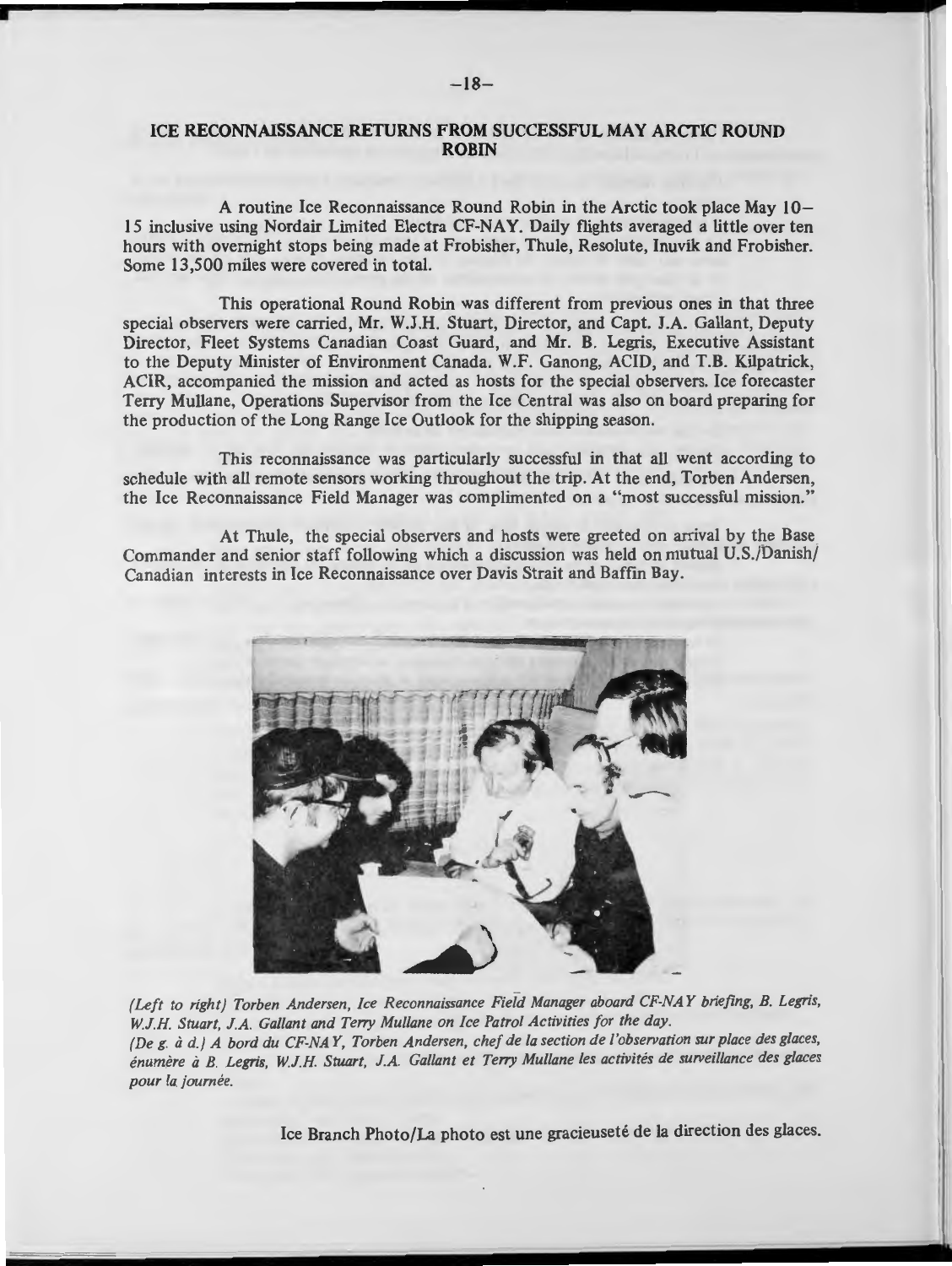#### ICE **RECONNAISSANCE RETURNS FROM SUCCESSFUL MAY ARCTIC ROUND ROBIN**

A routine Ice Reconnaissance Round Robin in the Arctic took place May 10- 15 inclusive using Nordair Limited Electra CF-NAY. Daily flights averaged a little over ten hours with overnight stops being made at Frobisher, Thule, Resolute, Inuvik and Frobisher. Some 13,500 miles were covered in total.

This operational Round Robin was different from previous ones in that three special observers were carried, Mr. W.J.H. Stuart, Director, and Capt. J.A. Gallant, Deputy Director, Fleet Systems Canadian Coast Guard, and Mr. B. Legris, Executive Assistant to the Deputy Minister of Environment Canada. W.F. Ganong, ACID, and T.B. Kilpatrick, ACIR, accompanied the mission and acted as hosts for the special observers. Ice forecaster Terry Mullane, Operations Supervisor from the Ice Central was also on board preparing for the production of the Long Range Ice Outlook for the shipping season.

This reconnaissance was particularly successful in that all went according to schedule with all remote sensors working throughout the trip. At the end, Torben Andersen, the Ice Reconnaissance Field Manager was complimented on a "most successful mission."

At Thule, the special observers and hosts were greeted on arrival by the Base Commander and senior staff following which a discussion was held on mutual U.S./Danish/ Canadian interests in Ice Reconnaissance over Davis Strait and Baffin Bay.



*( Left to right) Torben Andersen, Ice Reconnaissance Field Manager aboard CF-NAY briefing, B. Legris,*  W.J.H. Stuart, J.A. Gallant and Terry Mullane on Ice Patrol Activities for the day. *(Deg. iz d.) A bord du CF-NAY, Torben Andersen, chef de la section de /'observation sur place des glaces,*  énumère à B. Legris, W.J.H. Stuart, J.A. Gallant et Terry Mullane les activités de surveillance des glaces *pour la. journee.* 

Ice Branch Photo/La photo est une gracieuseté de la direction des glaces.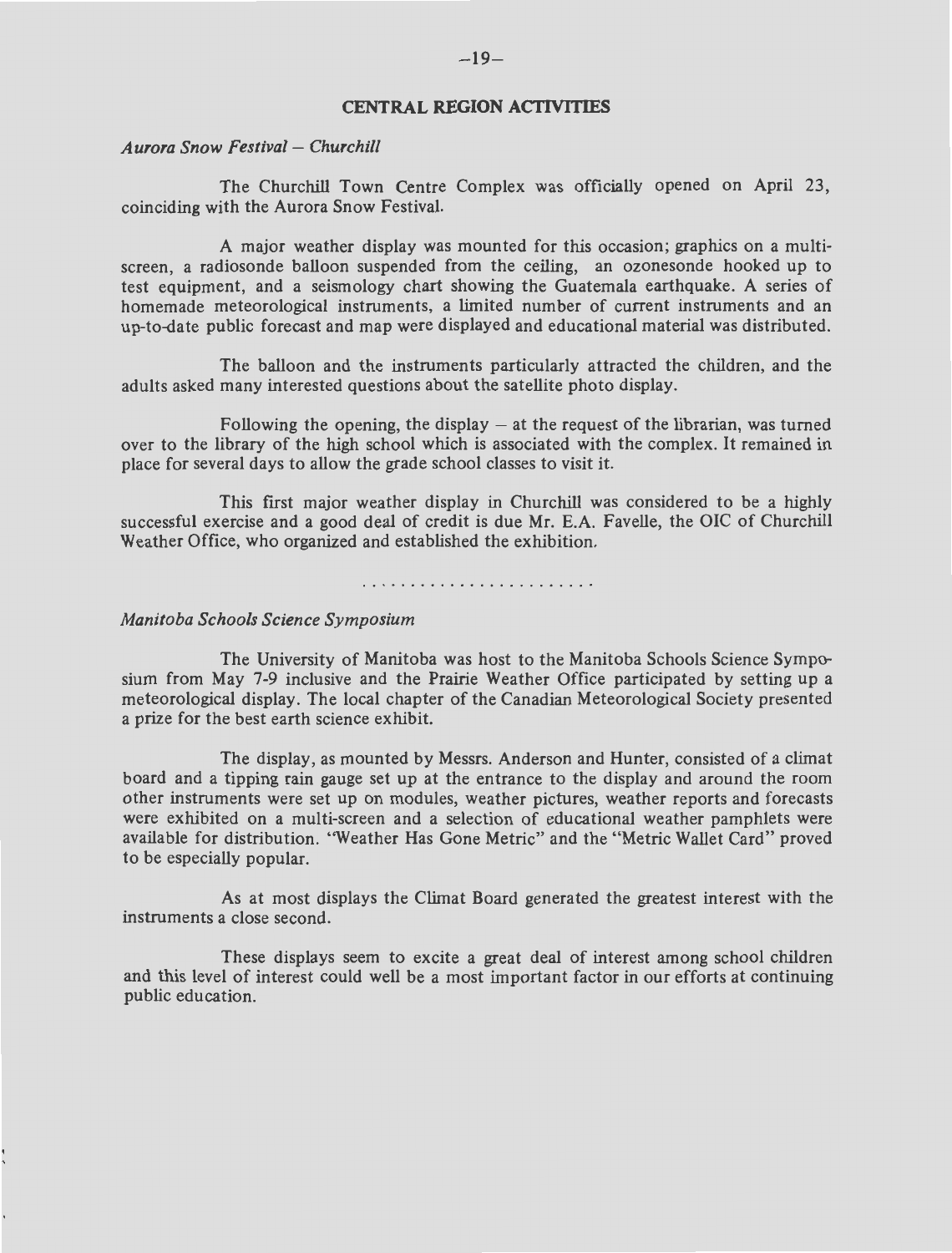#### **CENTRAL REGION ACTIVITIES**

#### *Aurora Snow Festival* - *Churchill*

The Churchill Town Centre Complex was officially opened on April 23, coinciding with the Aurora Snow Festival.

A major weather display was mounted for this occasion; graphics on a multiscreen, a radiosonde balloon suspended from the ceiling, an ozonesonde hooked up to test equipment, and a seismology chart showing the Guatemala earthquake. A series of homemade meteorological instruments, a limited number of current instruments and an up-to-date public forecast and map were displayed and educational material was distributed.

The balloon and the instruments particularly attracted the children, and the adults asked many interested questions about the satellite photo display.

Following the opening, the display  $-$  at the request of the librarian, was turned over to the library of the high school which is associated with the complex. It remained in place for several days to allow the grade school classes to visit it.

This first major weather display in Churchill was considered to be a highly successful exercise and a good deal of credit is due Mr. E.A. Favelle, the OIC of Churchill Weather Office, who organized and established the exhibition.

#### *Manitoba Schools Science Symposium*

The University of Manitoba was host to the Manitoba Schools Science Symposium from May 7-9 inclusive and the Prairie Weather Office participated by setting up a meteorological display. The local chapter of the Canadian Meteorological Society presented a prize for the best earth science exhibit.

The display, as mounted by Messrs. Anderson and Hunter, consisted of a climat board and a tipping rain gauge set up at the entrance to the display and around the room other instruments were set up on modules, weather pictures, weather reports and forecasts were exhibited on a multi-screen and a selection of educational weather pamphlets were available for distribution. ''Weather Has Gone Metric" and the "Metric Wallet Card" proved to be especially popular.

As at most displays the Climat Board generated the greatest interest with the instruments a close second.

These displays seem to excite a great deal of interest among school children and this level of interest could well be a most important factor in our efforts at continuing public education.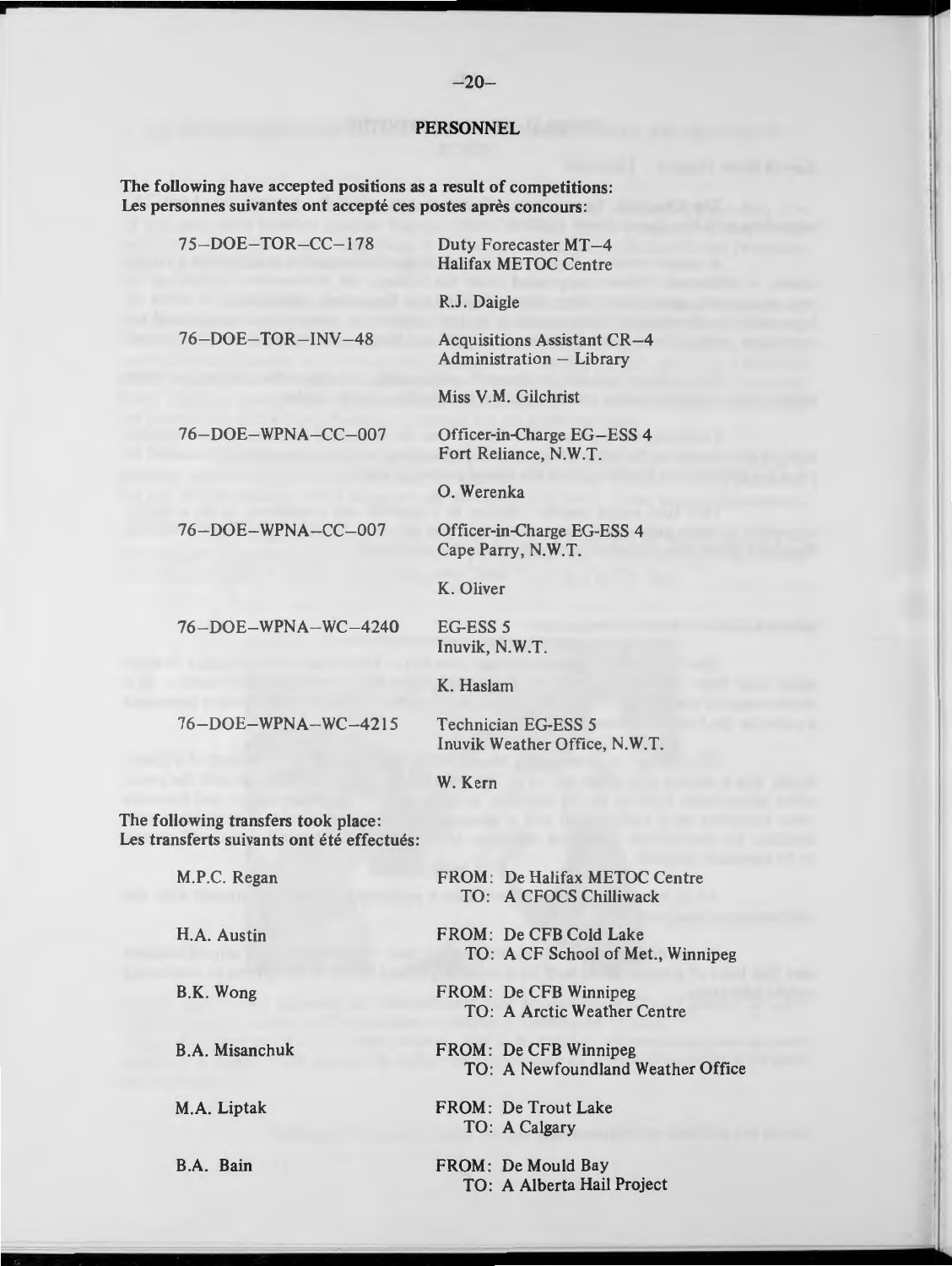#### **PERSONNEL**

The following have accepted positions as a result of competitions: Les personnes suivantes ont accepté ces postes après concours:

| $75-DOE-TOR-CC-178$                                                               | Duty Forecaster MT-4<br><b>Halifax METOC Centre</b>               |  |  |
|-----------------------------------------------------------------------------------|-------------------------------------------------------------------|--|--|
|                                                                                   | R.J. Daigle                                                       |  |  |
| 76-DOE-TOR-INV-48                                                                 | <b>Acquisitions Assistant CR-4</b><br>Administration - Library    |  |  |
|                                                                                   | Miss V.M. Gilchrist                                               |  |  |
| 76-DOE-WPNA-CC-007                                                                | Officer-in-Charge EG-ESS 4<br>Fort Reliance, N.W.T.               |  |  |
|                                                                                   | O. Werenka                                                        |  |  |
| 76-DOE-WPNA-CC-007                                                                | Officer-in-Charge EG-ESS 4<br>Cape Parry, N.W.T.                  |  |  |
|                                                                                   | K. Oliver                                                         |  |  |
| 76-DOE-WPNA-WC-4240                                                               | EG-ESS 5<br>Inuvik, N.W.T.                                        |  |  |
|                                                                                   | K. Haslam                                                         |  |  |
| 76-DOE-WPNA-WC-4215                                                               | <b>Technician EG-ESS 5</b><br>Inuvik Weather Office, N.W.T.       |  |  |
|                                                                                   | W. Kern                                                           |  |  |
| The following transfers took place:<br>Les transferts suivants ont été effectués: |                                                                   |  |  |
| M.P.C. Regan                                                                      | FROM: De Halifax METOC Centre<br>TO: A CFOCS Chilliwack           |  |  |
| H.A. Austin                                                                       | FROM: De CFB Cold Lake<br>TO: A CF School of Met., Winnipeg       |  |  |
| B.K. Wong                                                                         | <b>FROM: De CFB Winnipeg</b><br>TO: A Arctic Weather Centre       |  |  |
| <b>B.A. Misanchuk</b>                                                             | <b>FROM: De CFB Winnipeg</b><br>TO: A Newfoundland Weather Office |  |  |
| M.A. Liptak                                                                       | FROM: De Trout Lake<br>TO: A Calgary                              |  |  |
| B.A. Bain                                                                         | FROM: De Mould Bay                                                |  |  |

TO: A Alberta Hail Project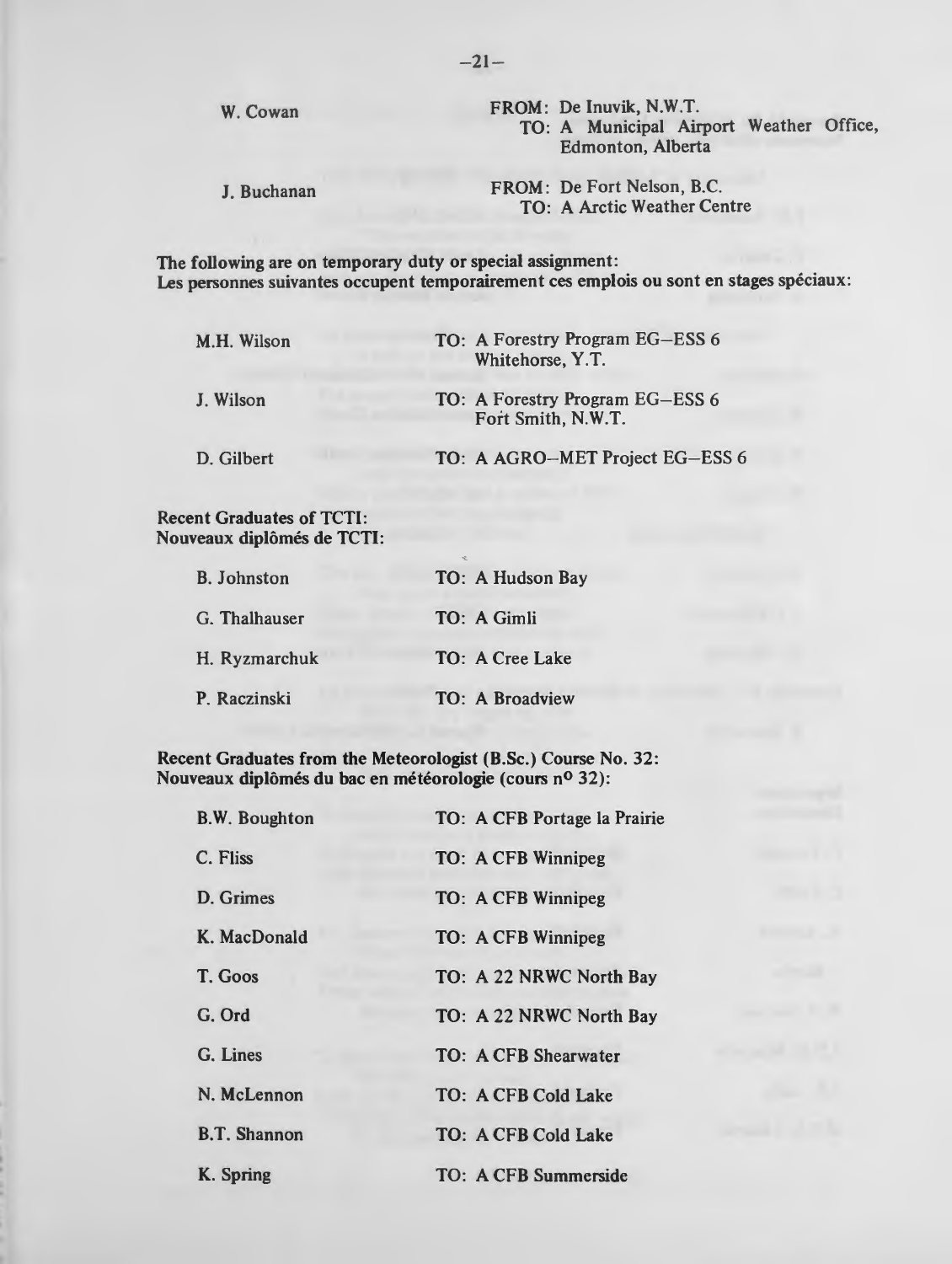W. Cowan

J. Buchanan

FROM: De Inuvik, N.W.T. TO: A Municipal Airport Weather Office, Edmonton, Alberta

FROM: De Fort Nelson, B.C. TO: A Arctic Weather Centre

The following are on temporary duty or special assignment: Les personnes suivantes occupent temporairement ces emplois ou sont en stages spéciaux:

| M.H. Wilson | TO: A Forestry Program EG-ESS 6<br>Whitehorse, Y.T.   |
|-------------|-------------------------------------------------------|
| J. Wilson   | TO: A Forestry Program EG-ESS 6<br>Fort Smith, N.W.T. |
| D. Gilbert  | TO: A AGRO-MET Project EG-ESS 6                       |

#### Recent Graduates of TCTI: Nouveaux diplomes de TCTI:

| <b>B.</b> Johnston | TO: A Hudson Bay |
|--------------------|------------------|
| G. Thalhauser      | TO: A Gimli      |
| H. Ryzmarchuk      | TO: A Cree Lake  |
| P. Raczinski       | TO: A Broadview  |

Recent Graduates from the Meteorologist (B.Sc.) Course No. 32: Nouveaux diplômés du bac en météorologie (cours nº 32):

| <b>B.W. Boughton</b> | TO: A CFB Portage la Prairie |  |
|----------------------|------------------------------|--|
| C. Fliss             | <b>TO: A CFB Winnipeg</b>    |  |
| D. Grimes            | TO: A CFB Winnipeg           |  |
| K. MacDonald         | TO: A CFB Winnipeg           |  |
| T. Goos              | TO: A 22 NRWC North Bay      |  |
| G. Ord               | TO: A 22 NRWC North Bay      |  |
| G. Lines             | <b>TO: A CFB Shearwater</b>  |  |
| N. McLennon          | <b>TO: A CFB Cold Lake</b>   |  |
| <b>B.T. Shannon</b>  | TO: A CFB Cold Lake          |  |
| K. Spring            | <b>TO: A CFB Summerside</b>  |  |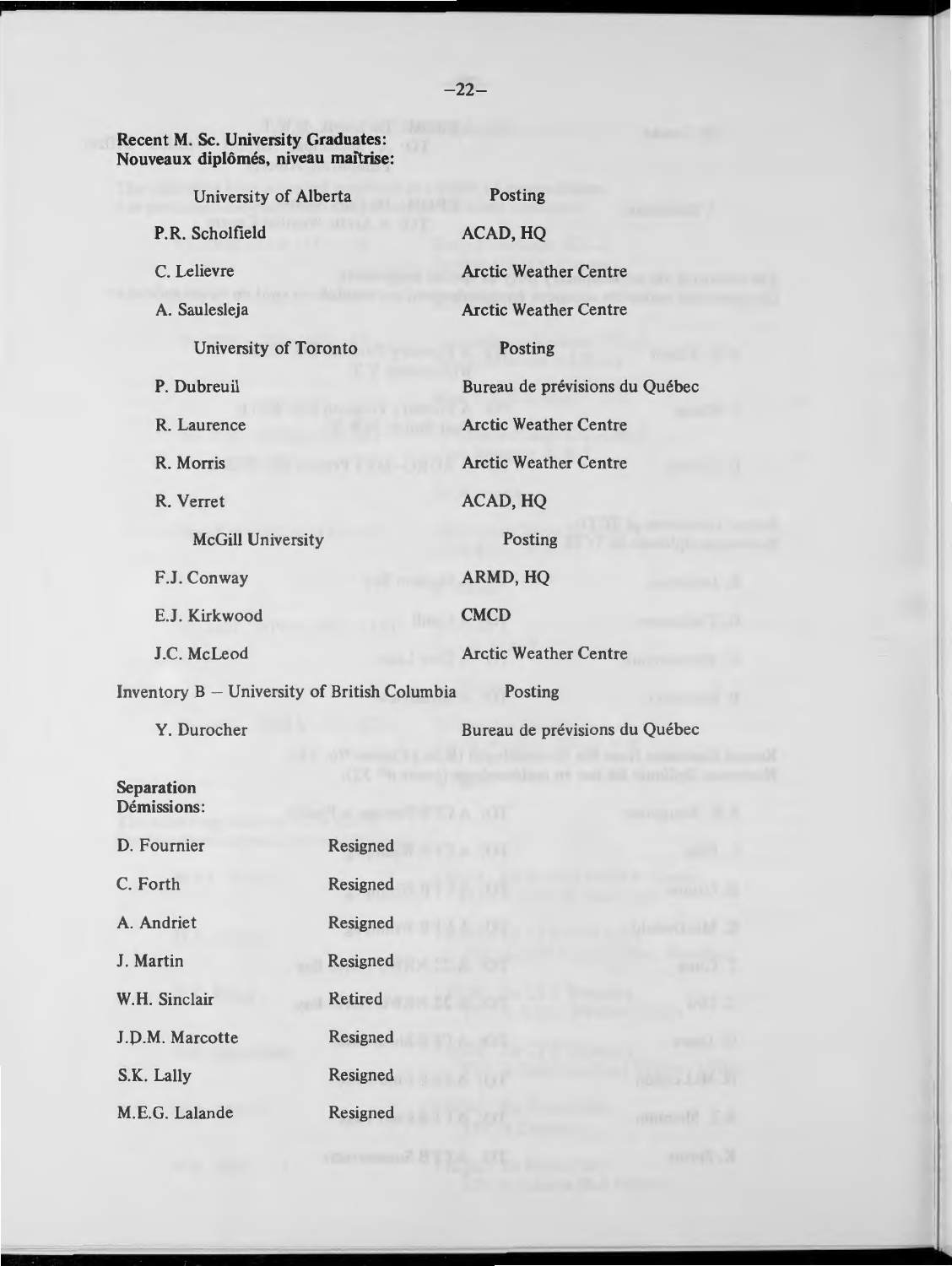#### **Recent M. Sc. University Graduates: Nouveaux diplomes, niveau maitrise:**

| University of Alberta                                |          | Posting                                                      |                                |  |                       |
|------------------------------------------------------|----------|--------------------------------------------------------------|--------------------------------|--|-----------------------|
| P.R. Scholfield                                      |          | <b>ACAD, HQ</b>                                              |                                |  |                       |
| C. Lelievre<br>A. Saulesleja                         |          | <b>Arctic Weather Centre</b><br><b>Arctic Weather Centre</b> |                                |  |                       |
|                                                      |          |                                                              |                                |  | University of Toronto |
| P. Dubreuil                                          |          |                                                              | Bureau de prévisions du Québec |  |                       |
| R. Laurence                                          |          | <b>Arctic Weather Centre</b>                                 |                                |  |                       |
| R. Morris                                            |          |                                                              | <b>Arctic Weather Centre</b>   |  |                       |
| R. Verret                                            |          | <b>ACAD, HQ</b>                                              |                                |  |                       |
| <b>McGill University</b>                             |          | Posting                                                      |                                |  |                       |
| F.J. Conway<br>E.J. Kirkwood                         |          | ARMD, HQ<br><b>CMCD</b>                                      |                                |  |                       |
|                                                      |          |                                                              |                                |  | J.C. McLeod           |
| Inventory B - University of British Columbia Posting |          |                                                              |                                |  |                       |
| Y. Durocher                                          |          | Bureau de prévisions du Québec                               |                                |  |                       |
| Separation<br>Démissions:                            |          | (1, 1, 1)                                                    |                                |  |                       |
| D. Fournier                                          | Resigned | 111                                                          |                                |  |                       |
| C. Forth                                             | Resigned |                                                              |                                |  |                       |
| A. Andriet                                           | Resigned |                                                              |                                |  |                       |
| J. Martin                                            | Resigned |                                                              |                                |  |                       |
| W.H. Sinclair                                        | Retired  |                                                              |                                |  |                       |

J.D.M. Marcotte Resigned

S.K. Lally Resigned

M. E.G. Lalande Resigned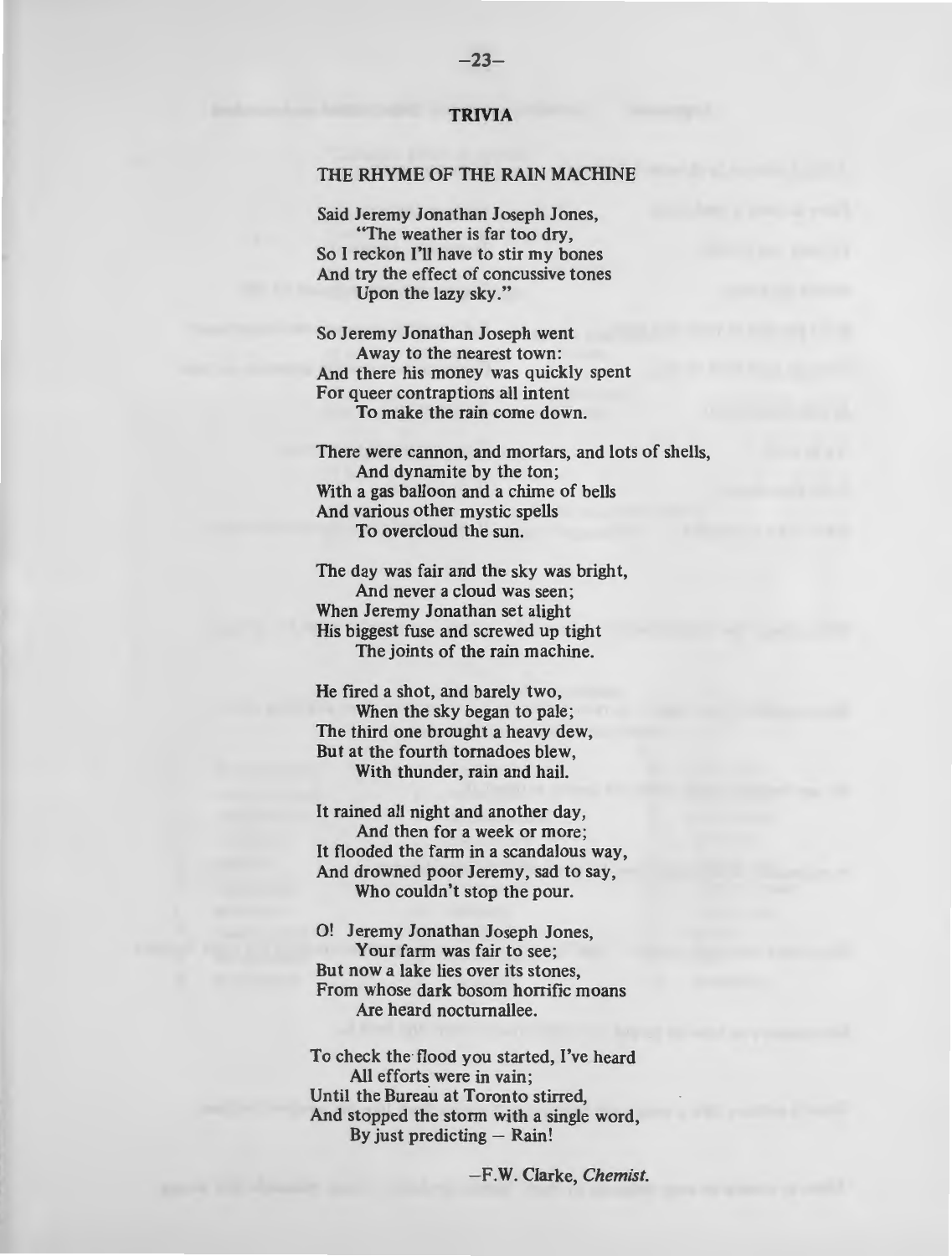#### **TRIVIA**

#### THE RHYME OF THE RAIN MACHINE

Said Jeremy Jonathan Joseph Jones, "The weather is far too dry, So I reckon I'll have to stir my bones And try the effect of concussive tones Upon the lazy sky."

So Jeremy Jonathan Joseph went Away to the nearest town: And there his money was quickly spent For queer contraptions all intent To make the rain come down.

There were cannon, and mortars, and lots of shells, And dynamite by the ton; With a gas balloon and a chime of bells And various other mystic spells To overcloud the sun.

The day was fair and the sky was bright, And never a cloud was seen; When Jeremy Jonathan set alight His biggest fuse and screwed up tight The joints of the rain machine.

He fired a shot, and barely two, When the sky began to pale; The third one brought a heavy dew, But at the fourth tornadoes blew, With thunder, rain and hail.

It rained all night and another day, And then for a week or more; It flooded the farm in a scandalous way, And drowned poor Jeremy, sad to say, Who couldn't stop the pour.

0! Jeremy Jonathan Joseph Jones, Your farm was fair to see; But now a lake lies over its stones, From whose dark bosom horrific moans Are heard noctumallee.

To check the flood you started, I've heard All efforts were in vain: Until the Bureau at Toronto stirred. And stopped the storm with a single word, By just predicting  $-$  Rain!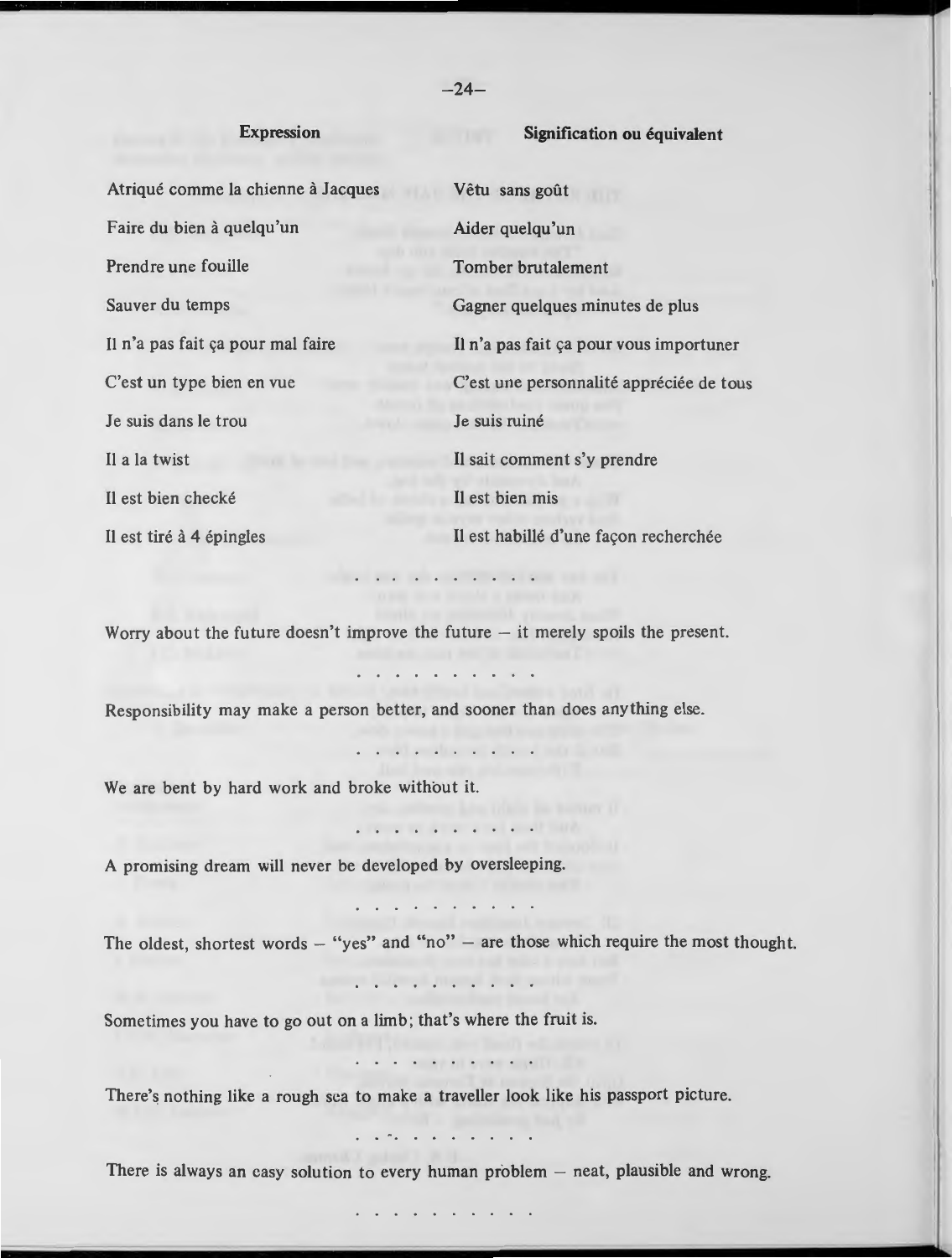#### **Expression**

#### **Signification ou équivalent**

Atriqué comme la chienne à Jacques Vêtu sans goût Faire du bien à quelqu'un Prendre une fouille Sauver du temps II n'a pas fait ya pour mal faire II n'a pas fait ya pour vous importuner C'est un type bien en vue **J** e suis dans le trou II a la twist Il est bien checké Il est tiré à 4 épingles Aider quelqu'un Tomber brutalement Gagner quelques minutes de plus C'est une personnalité appréciée de tous **Je suis ruine** II sait comment s'y prendre II est bien mis Il est habillé d'une façon recherchée

Worry about the future doesn't improve the future  $-$  it merely spoils the present.

. . . . . . . . . .

Responsibility may make a person better, and sooner than does anything else.

We are bent by hard work and broke without it.

A promising dream will never be developed by oversleeping.

 $\sim$   $\sim$   $\sim$   $\sim$   $\sim$ 

. . . . . . . . . .

The oldest, shortest words  $-$  "yes" and "no"  $-$  are those which require the most thought.

Sometimes you have to go out on a limb; that's where the fruit is.

There's nothing like a rough sea to make a traveller look like his passport picture.

 $\sim$  . . . . . . . . . .

There is always an easy solution to every human problem  $-$  neat, plausible and wrong.

 $-24-$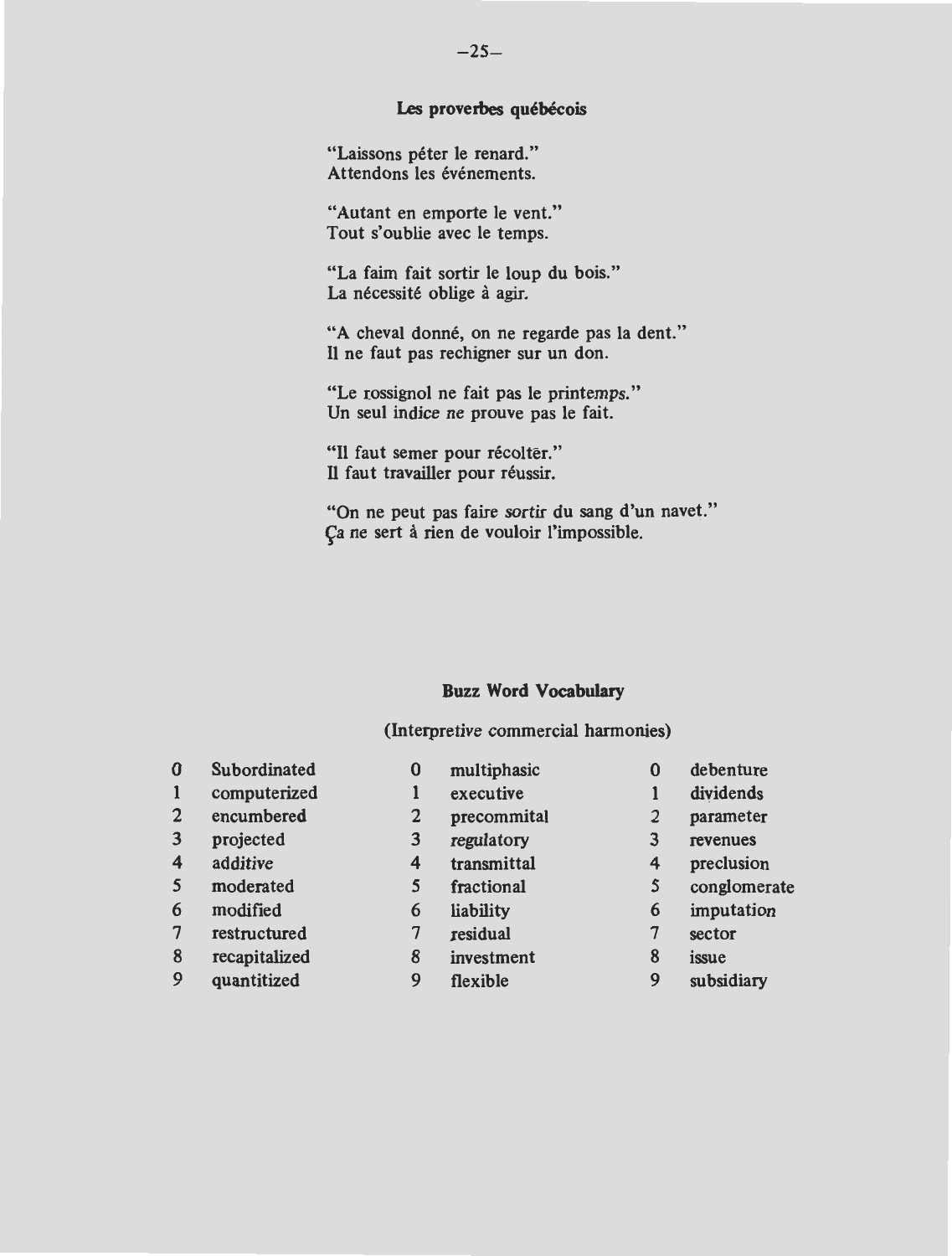#### Les proverbes québécois

"Laissons péter le renard." Attendons les événements.

"Autant en emporte le vent." Tout s'oublie avec le temps.

"La faim fait sortir le loup du bois." La nécessité oblige à agir.

"A cheval donné, on ne regarde pas la dent." 11 ne faut pas rechigner sur un don.

"Le rossignol ne fait pas le printemps." Un seul indice ne prouve pas le fait.

"Il faut semer pour récolter." **<sup>11</sup>**faut travailler pour reussir.

"On ne peut pas faire sortir du sang d'un navet." Ça ne sert à rien de vouloir l'impossible.

#### **Buzz Word Vocabulary**

#### (Interpretive commercial harmonies)

| $\bf{0}$         | Subordinated  | 0 | multiphasic | 0 | debenture    |
|------------------|---------------|---|-------------|---|--------------|
| $\mathbf{1}$     | computerized  |   | executive   |   | dividends    |
| $\overline{2}$   | encumbered    | 2 | precommital | 2 | parameter    |
| 3                | projected     | 3 | regulatory  | 3 | revenues     |
| $\boldsymbol{4}$ | additive      | 4 | transmittal | 4 | preclusion   |
| 5                | moderated     |   | fractional  | 5 | conglomerate |
| 6                | modified      | 6 | liability   | 6 | imputation   |
| 7                | restructured  |   | residual    |   | sector       |
| 8                | recapitalized | 8 | investment  | 8 | issue        |
| 9                | quantitized   | 9 | flexible    | 9 | subsidiary   |
|                  |               |   |             |   |              |